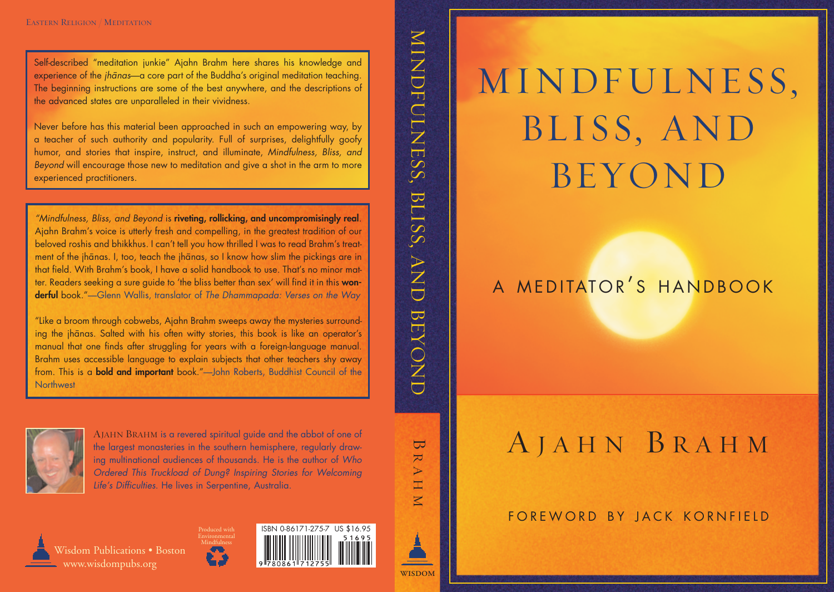# MINDFULNESS, BLISS, AND BEYOND

## A MEDITATOR'S HANDBOOK

## A JAHN B RAHM

FOREWORD BY JACK KORNFIELD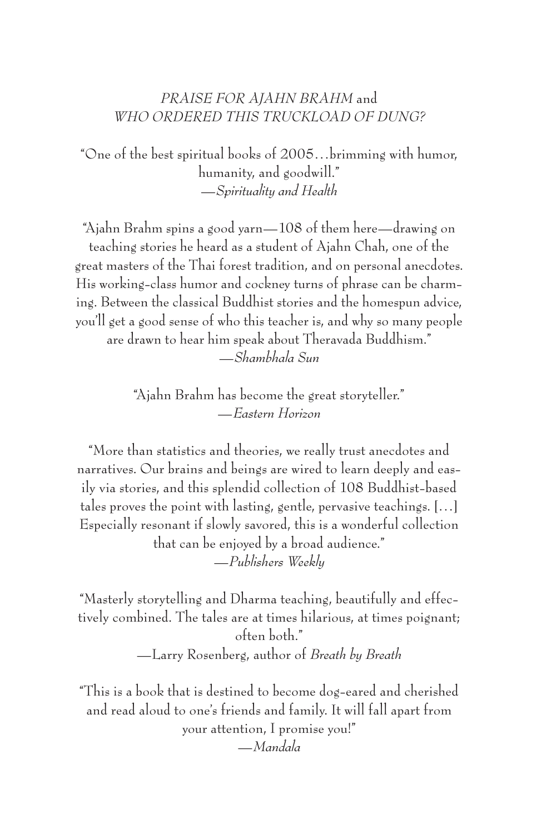#### *PRAISE FOR AJAHN BRAHM* and *WHO ORDERED THIS TRUCKLOAD OF DUNG?*

"One of the best spiritual books of 2005…brimming with humor, humanity, and goodwill." —*Spirituality and Health*

"Ajahn Brahm spins a good yarn—108 of them here—drawing on teaching stories he heard as a student of Ajahn Chah, one of the great masters of the Thai forest tradition, and on personal anecdotes. His working-class humor and cockney turns of phrase can be charming. Between the classical Buddhist stories and the homespun advice, you'll get a good sense of who this teacher is, and why so many people are drawn to hear him speak about Theravada Buddhism." —*Shambhala Sun*

> "Ajahn Brahm has become the great storyteller." —*Eastern Horizon*

"More than statistics and theories, we really trust anecdotes and narratives. Our brains and beings are wired to learn deeply and easily via stories, and this splendid collection of 108 Buddhist-based tales proves the point with lasting, gentle, pervasive teachings. […] Especially resonant if slowly savored, this is a wonderful collection that can be enjoyed by a broad audience." —*Publishers Weekly*

"Masterly storytelling and Dharma teaching, beautifully and effectively combined. The tales are at times hilarious, at times poignant; often both."

—Larry Rosenberg, author of *Breath by Breath*

"This is a book that is destined to become dog-eared and cherished and read aloud to one's friends and family. It will fall apart from your attention, I promise you!" —*Mandala*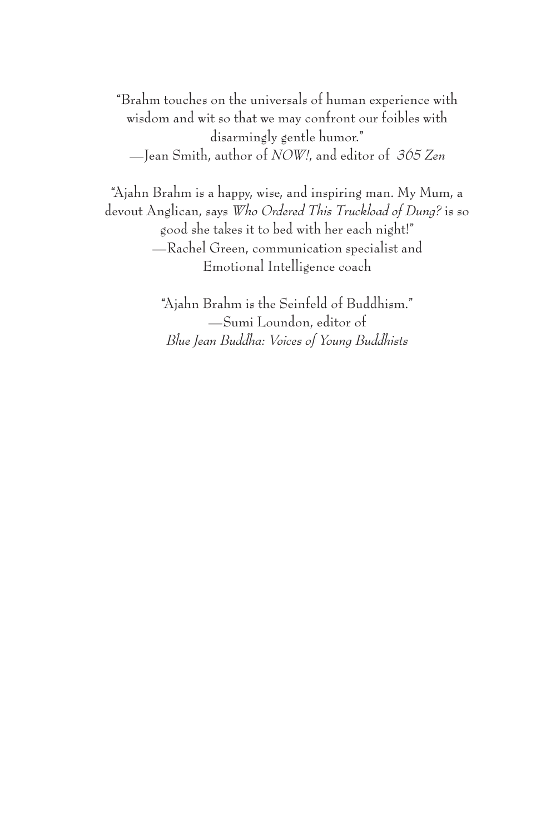"Brahm touches on the universals of human experience with wisdom and wit so that we may confront our foibles with disarmingly gentle humor." —Jean Smith, author of *NOW!*, and editor of *365 Zen*

"Ajahn Brahm is a happy, wise, and inspiring man. My Mum, a devout Anglican, says *Who Ordered This Truckload of Dung?* is so good she takes it to bed with her each night!" —Rachel Green, communication specialist and Emotional Intelligence coach

> "Ajahn Brahm is the Seinfeld of Buddhism." —Sumi Loundon, editor of *Blue Jean Buddha: Voices of Young Buddhists*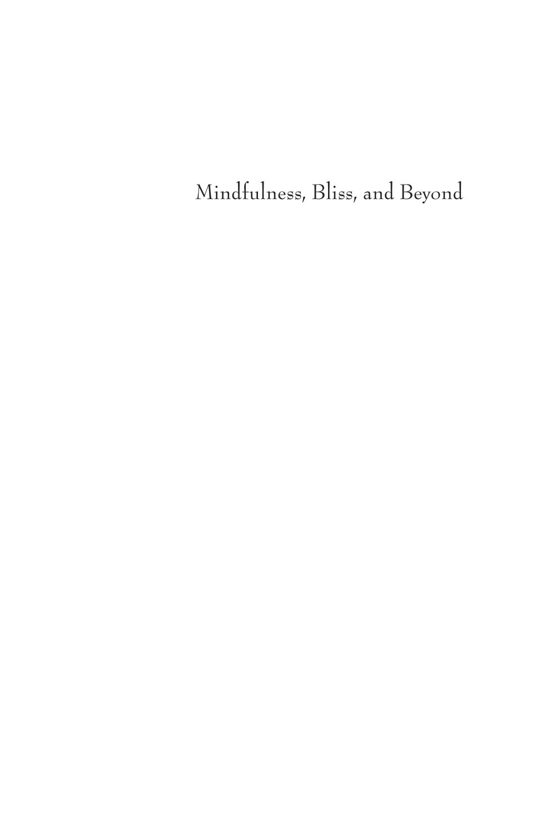Mindfulness, Bliss, and Beyond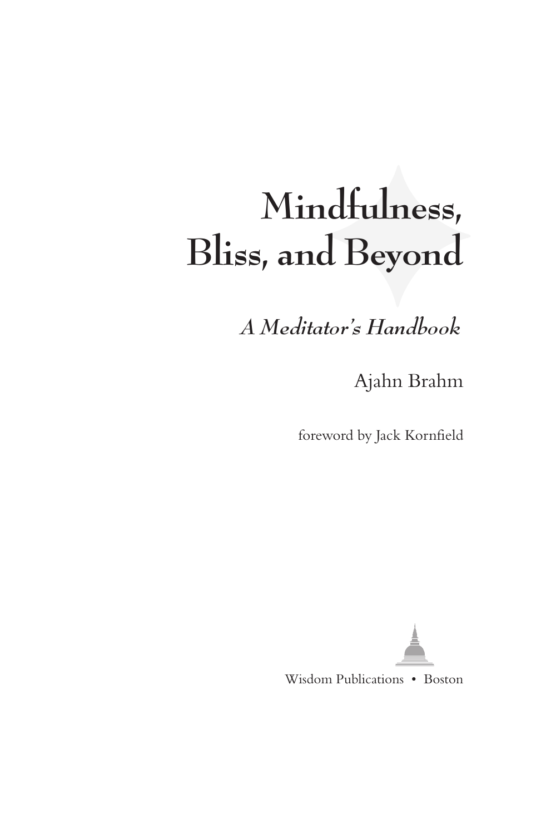# dfulness,<br>d Beyond **Mindfulness, Bliss, and Beyond**

**A Medita tor's Handbook**

Ajahn Brahm

foreword by Jack Kornfield

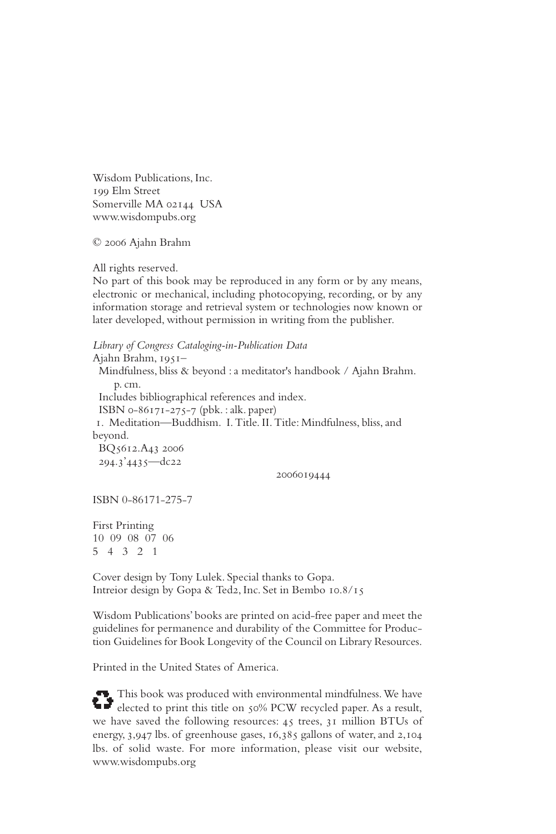Wisdom Publications, Inc. 199 Elm Street Somerville MA 02144 USA www.wisdompubs.org

© 2006 Ajahn Brahm

All rights reserved.

No part of this book may be reproduced in any form or by any means, electronic or mechanical, including photocopying, recording, or by any information storage and retrieval system or technologies now known or later developed, without permission in writing from the publisher.

*Library of Congress Cataloging-in-Publication Data* Ajahn Brahm, 1951– Mindfulness, bliss & beyond : a meditator's handbook / Ajahn Brahm. p. cm. Includes bibliographical references and index. ISBN 0-86171-275-7 (pbk.: alk. paper) 1. Meditation—Buddhism. I. Title. II. Title: Mindfulness, bliss, and beyond. BQ5612.A43 2006 294.3'4435—dc22 2006019444

ISBN 0-86171-275-7

First Printing 10 09 08 07 06 5 4 3 2 1

Cover design by Tony Lulek. Special thanks to Gopa. Intreior design by Gopa & Ted2, Inc. Set in Bembo 10.8/15

Wisdom Publications' books are printed on acid-free paper and meet the guidelines for permanence and durability of the Committee for Production Guidelines for Book Longevity of the Council on Library Resources.

Printed in the United States of America.

This book was produced with environmental mindfulness.We have elected to print this title on 50% PCW recycled paper. As a result, we have saved the following resources: 45 trees, 31 million BTUs of energy, 3,947 lbs. of greenhouse gases, 16,385 gallons of water, and 2,104 lbs. of solid waste. For more information, please visit our website, www.wisdompubs.org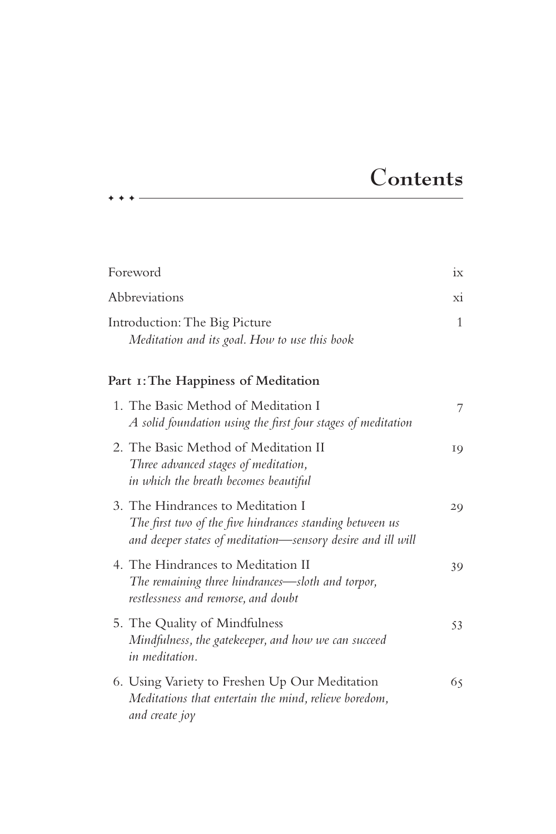## **Contents**

| Foreword                                                                                                                                                     | ix           |
|--------------------------------------------------------------------------------------------------------------------------------------------------------------|--------------|
| Abbreviations                                                                                                                                                | X1           |
| Introduction: The Big Picture<br>Meditation and its goal. How to use this book                                                                               | $\mathbf{1}$ |
| Part 1: The Happiness of Meditation                                                                                                                          |              |
| 1. The Basic Method of Meditation I<br>A solid foundation using the first four stages of meditation                                                          | 7            |
| 2. The Basic Method of Meditation II<br>Three advanced stages of meditation,<br>in which the breath becomes beautiful                                        | 19           |
| 3. The Hindrances to Meditation I<br>The first two of the five hindrances standing between us<br>and deeper states of meditation-sensory desire and ill will | 29           |
| 4. The Hindrances to Meditation II<br>The remaining three hindrances—sloth and torpor,<br>restlessness and remorse, and doubt                                | 39           |
| 5. The Quality of Mindfulness<br>Mindfulness, the gatekeeper, and how we can succeed<br>in meditation.                                                       | 53           |
| 6. Using Variety to Freshen Up Our Meditation<br>Meditations that entertain the mind, relieve boredom,<br>and create joy                                     | 65           |

**✦✦✦**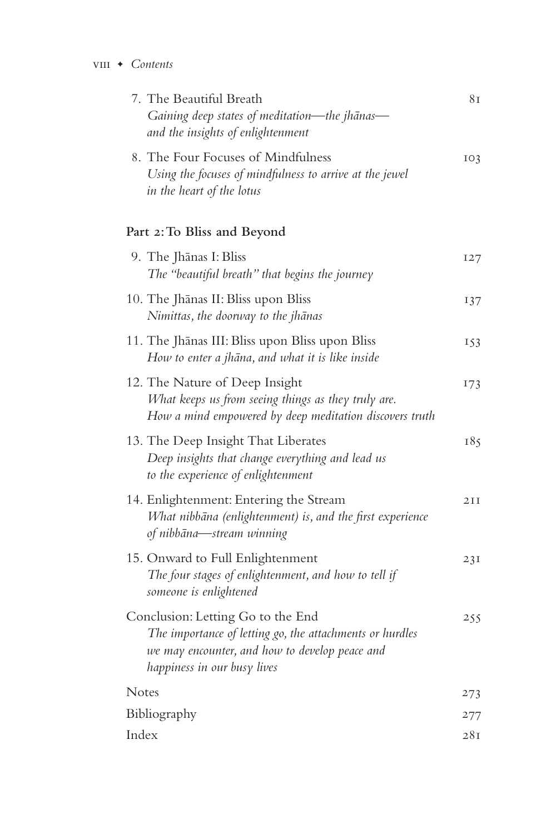| <b>VIII</b> | Contents |
|-------------|----------|
|-------------|----------|

| 7. The Beautiful Breath<br>Gaining deep states of meditation—the jhānas—<br>and the insights of enlightenment                                                                  | 81              |
|--------------------------------------------------------------------------------------------------------------------------------------------------------------------------------|-----------------|
| 8. The Four Focuses of Mindfulness<br>Using the focuses of mindfulness to arrive at the jewel<br>in the heart of the lotus                                                     | IO <sub>3</sub> |
| Part 2: To Bliss and Beyond                                                                                                                                                    |                 |
| 9. The Jhānas I: Bliss<br>The "beautiful breath" that begins the journey                                                                                                       | 127             |
| 10. The Jhanas II: Bliss upon Bliss<br>Nimittas, the doorway to the jhanas                                                                                                     | 137             |
| 11. The Jhanas III: Bliss upon Bliss upon Bliss<br>How to enter a jhāna, and what it is like inside                                                                            | 153             |
| 12. The Nature of Deep Insight<br>What keeps us from seeing things as they truly are.<br>How a mind empowered by deep meditation discovers truth                               | 173             |
| 13. The Deep Insight That Liberates<br>Deep insights that change everything and lead us<br>to the experience of enlightenment                                                  | 185             |
| 14. Enlightenment: Entering the Stream<br>What nibbana (enlightenment) is, and the first experience<br>of nibbāna—stream winning                                               | 2II             |
| 15. Onward to Full Enlightenment<br>The four stages of enlightenment, and how to tell if<br>someone is enlightened                                                             | 23I             |
| Conclusion: Letting Go to the End<br>The importance of letting go, the attachments or hurdles<br>we may encounter, and how to develop peace and<br>happiness in our busy lives | 255             |
| <b>Notes</b>                                                                                                                                                                   | 273             |
| Bibliography                                                                                                                                                                   | 277             |
| Index                                                                                                                                                                          | 281             |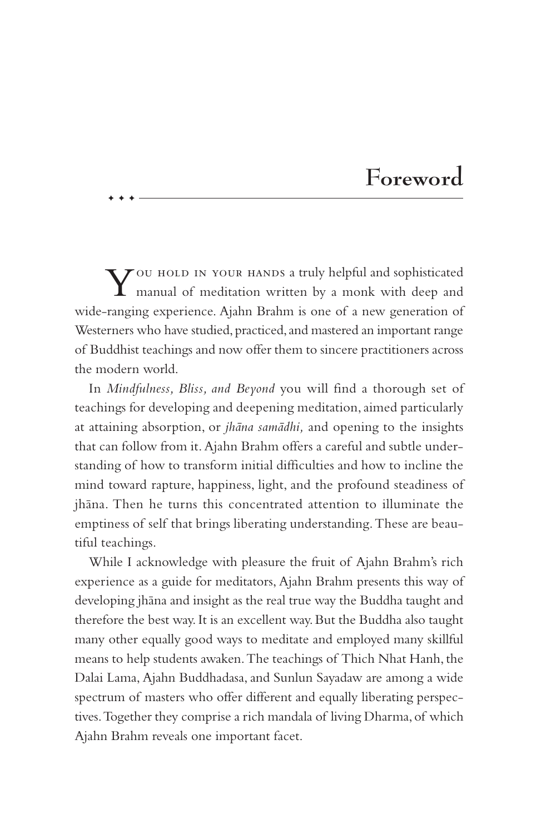## **Foreword**

 $\boldsymbol{Y}$ ou hold in your hands a truly helpful and sophisticated manual of meditation written by a monk with deep and wide-ranging experience. Ajahn Brahm is one of a new generation of Westerners who have studied, practiced, and mastered an important range of Buddhist teachings and now offer them to sincere practitioners across the modern world.

**✦✦✦**

In *Mindfulness, Bliss, and Beyond* you will find a thorough set of teachings for developing and deepening meditation, aimed particularly at attaining absorption, or *jhana samadhi*, and opening to the insights that can follow from it.Ajahn Brahm offers a careful and subtle understanding of how to transform initial difficulties and how to incline the mind toward rapture, happiness, light, and the profound steadiness of jhāna. Then he turns this concentrated attention to illuminate the emptiness of self that brings liberating understanding.These are beautiful teachings.

While I acknowledge with pleasure the fruit of Ajahn Brahm's rich experience as a guide for meditators, Ajahn Brahm presents this way of developing jhana and insight as the real true way the Buddha taught and therefore the best way. It is an excellent way. But the Buddha also taught many other equally good ways to meditate and employed many skillful means to help students awaken.The teachings of Thich Nhat Hanh, the Dalai Lama, Ajahn Buddhadasa, and Sunlun Sayadaw are among a wide spectrum of masters who offer different and equally liberating perspectives. Together they comprise a rich mandala of living Dharma, of which Ajahn Brahm reveals one important facet.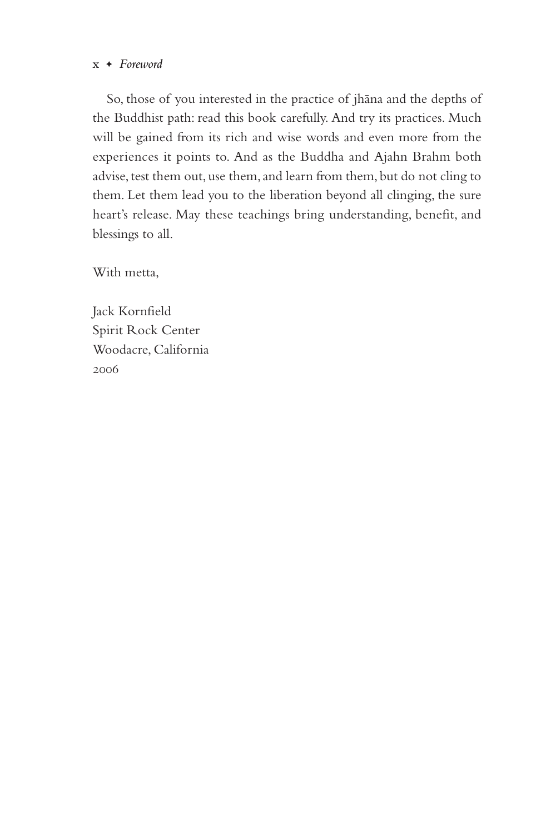#### x **✦** *Foreword*

So, those of you interested in the practice of jhana and the depths of the Buddhist path: read this book carefully. And try its practices. Much will be gained from its rich and wise words and even more from the experiences it points to. And as the Buddha and Ajahn Brahm both advise, test them out, use them, and learn from them, but do not cling to them. Let them lead you to the liberation beyond all clinging, the sure heart's release. May these teachings bring understanding, benefit, and blessings to all.

With metta,

Jack Kornfield Spirit Rock Center Woodacre, California 2006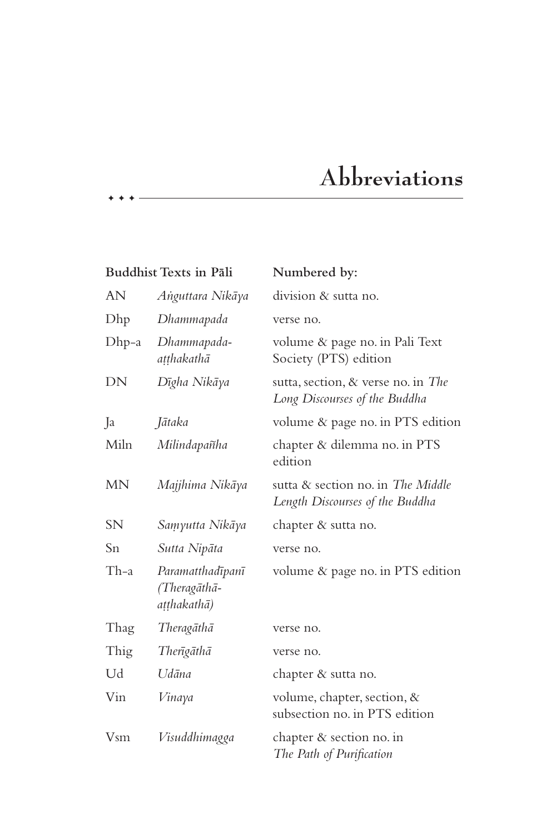## **Abbreviations**

| <b>Buddhist Texts in Pāli</b> |                                                 | Numbered by:                                                                |  |
|-------------------------------|-------------------------------------------------|-----------------------------------------------------------------------------|--|
| AN                            | Anguttara Nikāya                                | division & sutta no.                                                        |  |
| Dhp                           | Dhammapada                                      | verse no.                                                                   |  |
| $Dhp-a$                       | Dhammapada-<br>atthakathā                       | volume & page no. in Pali Text<br>Society (PTS) edition                     |  |
| DN                            | Dīgha Nikāya                                    | sutta, section, & verse no. in The<br>Long Discourses of the Buddha         |  |
| Ja                            | Jātaka                                          | volume & page no. in PTS edition                                            |  |
| Miln                          | Milindapañha                                    | chapter & dilemma no. in PTS<br>edition                                     |  |
| MN                            | Majjhima Nikāya                                 | sutta & section no. in <i>The Middle</i><br>Length Discourses of the Buddha |  |
| SN                            | Samyutta Nikāya                                 | chapter & sutta no.                                                         |  |
| Sn                            | Sutta Nipāta                                    | verse no.                                                                   |  |
| Th-a                          | Paramatthadīpanī<br>(Theragāthā-<br>atthakathā) | volume & page no. in PTS edition                                            |  |
| Thag                          | Theragāthā                                      | verse no.                                                                   |  |
| Thig                          | Therīgāthā                                      | verse no.                                                                   |  |
| Ud                            | Udāna                                           | chapter & sutta no.                                                         |  |
| Vin                           | Vinaya                                          | volume, chapter, section, &<br>subsection no. in PTS edition                |  |
| Vsm                           | Visuddhimagga                                   | chapter & section no. in<br>The Path of Purification                        |  |

**✦✦✦**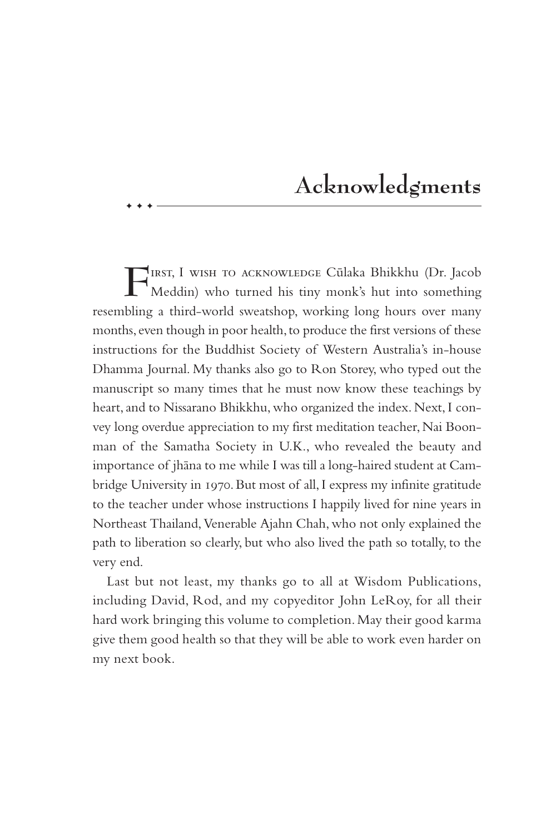## **Acknowledgments**

**FIRST, I WISH TO ACKNOWLEDGE CŪlaka Bhikkhu (Dr. Jacob** Meddin) who turned his tiny monk's hut into something resembling a third-world sweatshop, working long hours over many months, even though in poor health, to produce the first versions of these instructions for the Buddhist Society of Western Australia's in-house Dhamma Journal. My thanks also go to Ron Storey, who typed out the manuscript so many times that he must now know these teachings by heart, and to Nissarano Bhikkhu, who organized the index. Next, I convey long overdue appreciation to my first meditation teacher, Nai Boonman of the Samatha Society in U.K., who revealed the beauty and importance of jhana to me while I was till a long-haired student at Cambridge University in 1970.But most of all,I express my infinite gratitude to the teacher under whose instructions I happily lived for nine years in Northeast Thailand, Venerable Ajahn Chah, who not only explained the path to liberation so clearly, but who also lived the path so totally, to the very end.

**✦✦✦**

Last but not least, my thanks go to all at Wisdom Publications, including David, Rod, and my copyeditor John LeRoy, for all their hard work bringing this volume to completion. May their good karma give them good health so that they will be able to work even harder on my next book.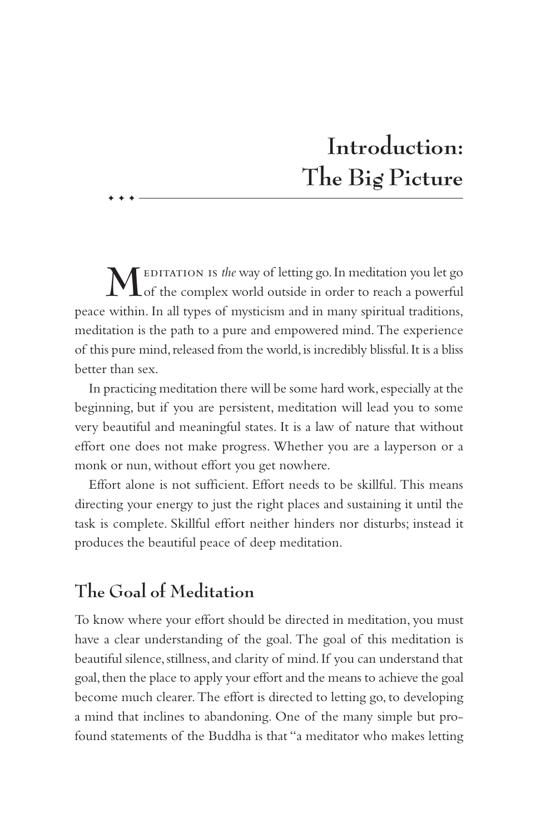## **Introduction: The Big Picture**

**M**EDITATION IS *the* way of letting go. In meditation you let go Lof the complex world outside in order to reach a powerful peace within. In all types of mysticism and in many spiritual traditions, meditation is the path to a pure and empowered mind.The experience of this pure mind, released from the world, is incredibly blissful. It is a bliss better than sex.

In practicing meditation there will be some hard work, especially at the beginning, but if you are persistent, meditation will lead you to some very beautiful and meaningful states. It is a law of nature that without effort one does not make progress. Whether you are a layperson or a monk or nun, without effort you get nowhere.

Effort alone is not sufficient. Effort needs to be skillful. This means directing your energy to just the right places and sustaining it until the task is complete. Skillful effort neither hinders nor disturbs; instead it produces the beautiful peace of deep meditation.

## **The Goal of Meditation**

**✦✦✦**

To know where your effort should be directed in meditation, you must have a clear understanding of the goal. The goal of this meditation is beautiful silence, stillness, and clarity of mind. If you can understand that goal, then the place to apply your effort and the means to achieve the goal become much clearer. The effort is directed to letting go, to developing a mind that inclines to abandoning. One of the many simple but profound statements of the Buddha is that "a meditator who makes letting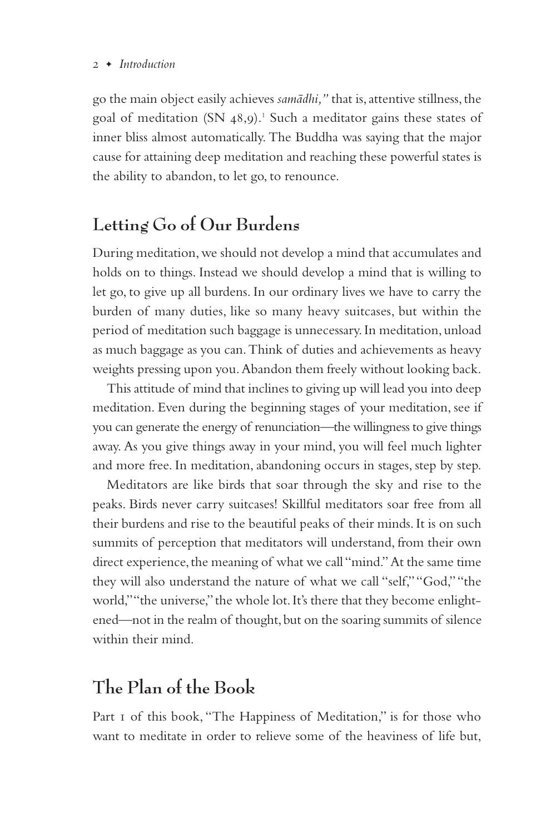go the main object easily achieves *samādhi*," that is, attentive stillness, the goal of meditation  $(SN_48, 9)^1$ . Such a meditator gains these states of inner bliss almost automatically. The Buddha was saying that the major cause for attaining deep meditation and reaching these powerful states is the ability to abandon, to let go, to renounce.

## **Letting Go of Our Burdens**

During meditation, we should not develop a mind that accumulates and holds on to things. Instead we should develop a mind that is willing to let go, to give up all burdens. In our ordinary lives we have to carry the burden of many duties, like so many heavy suitcases, but within the period of meditation such baggage is unnecessary.In meditation,unload as much baggage as you can.Think of duties and achievements as heavy weights pressing upon you.Abandon them freely without looking back.

This attitude of mind that inclines to giving up will lead you into deep meditation. Even during the beginning stages of your meditation, see if you can generate the energy of renunciation—the willingness to give things away. As you give things away in your mind, you will feel much lighter and more free. In meditation, abandoning occurs in stages, step by step.

Meditators are like birds that soar through the sky and rise to the peaks. Birds never carry suitcases! Skillful meditators soar free from all their burdens and rise to the beautiful peaks of their minds. It is on such summits of perception that meditators will understand, from their own direct experience, the meaning of what we call "mind." At the same time they will also understand the nature of what we call "self,""God,""the world," the universe," the whole lot. It's there that they become enlightened—not in the realm of thought, but on the soaring summits of silence within their mind.

## **The Plan of the Book**

Part I of this book, "The Happiness of Meditation," is for those who want to meditate in order to relieve some of the heaviness of life but,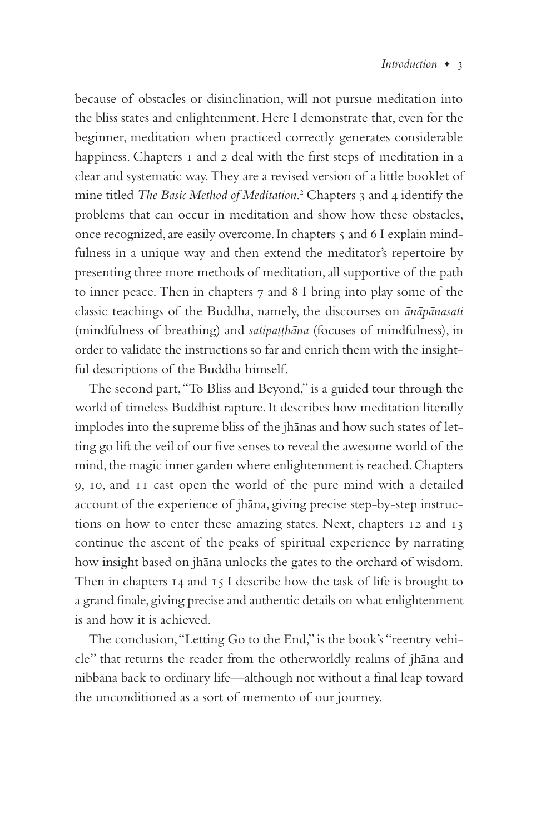because of obstacles or disinclination, will not pursue meditation into the bliss states and enlightenment. Here I demonstrate that, even for the beginner, meditation when practiced correctly generates considerable happiness. Chapters 1 and 2 deal with the first steps of meditation in a clear and systematic way.They are a revised version of a little booklet of mine titled *The Basic Method of Meditation*. <sup>2</sup> Chapters 3 and 4 identify the problems that can occur in meditation and show how these obstacles, once recognized,are easily overcome.In chapters 5 and 6 I explain mindfulness in a unique way and then extend the meditator's repertoire by presenting three more methods of meditation, all supportive of the path to inner peace. Then in chapters 7 and 8 I bring into play some of the classic teachings of the Buddha, namely, the discourses on  $\bar{a}n\bar{a}p\bar{a}nasati$ (mindfulness of breathing) and *satipatthana* (focuses of mindfulness), in order to validate the instructions so far and enrich them with the insightful descriptions of the Buddha himself.

The second part,"To Bliss and Beyond," is a guided tour through the world of timeless Buddhist rapture. It describes how meditation literally implodes into the supreme bliss of the jhanas and how such states of letting go lift the veil of our five senses to reveal the awesome world of the mind, the magic inner garden where enlightenment is reached. Chapters 9, 10, and 11 cast open the world of the pure mind with a detailed account of the experience of jhana, giving precise step-by-step instructions on how to enter these amazing states. Next, chapters 12 and 13 continue the ascent of the peaks of spiritual experience by narrating how insight based on jhana unlocks the gates to the orchard of wisdom. Then in chapters 14 and 15 I describe how the task of life is brought to a grand finale, giving precise and authentic details on what enlightenment is and how it is achieved.

The conclusion,"Letting Go to the End," is the book's "reentry vehicle" that returns the reader from the otherworldly realms of jhana and nibbāna back to ordinary life—although not without a final leap toward the unconditioned as a sort of memento of our journey.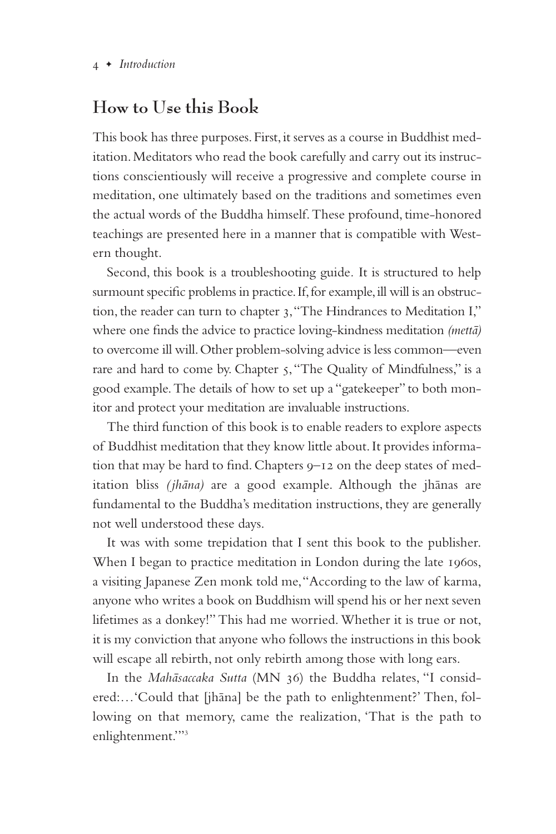#### **How to Use this Book**

This book has three purposes. First, it serves as a course in Buddhist meditation.Meditators who read the book carefully and carry out its instructions conscientiously will receive a progressive and complete course in meditation, one ultimately based on the traditions and sometimes even the actual words of the Buddha himself.These profound, time-honored teachings are presented here in a manner that is compatible with Western thought.

Second, this book is a troubleshooting guide*.* It is structured to help surmount specific problems in practice. If, for example, ill will is an obstruction, the reader can turn to chapter 3,"The Hindrances to Meditation I," where one finds the advice to practice loving-kindness meditation *(metta)* to overcome ill will.Other problem-solving advice is less common—even rare and hard to come by. Chapter 5, "The Quality of Mindfulness," is a good example.The details of how to set up a "gatekeeper" to both monitor and protect your meditation are invaluable instructions.

The third function of this book is to enable readers to explore aspects of Buddhist meditation that they know little about.It provides information that may be hard to find. Chapters 9–12 on the deep states of meditation bliss *(jhāna)* are a good example. Although the jhānas are fundamental to the Buddha's meditation instructions, they are generally not well understood these days.

It was with some trepidation that I sent this book to the publisher. When I began to practice meditation in London during the late 1960s, a visiting Japanese Zen monk told me,"According to the law of karma, anyone who writes a book on Buddhism will spend his or her next seven lifetimes as a donkey!" This had me worried. Whether it is true or not, it is my conviction that anyone who follows the instructions in this book will escape all rebirth, not only rebirth among those with long ears.

In the *Mahāsaccaka Sutta* (MN 36) the Buddha relates, "I considered:...'Could that [jhāna] be the path to enlightenment?' Then, following on that memory, came the realization, 'That is the path to enlightenment.'"<sup>3</sup>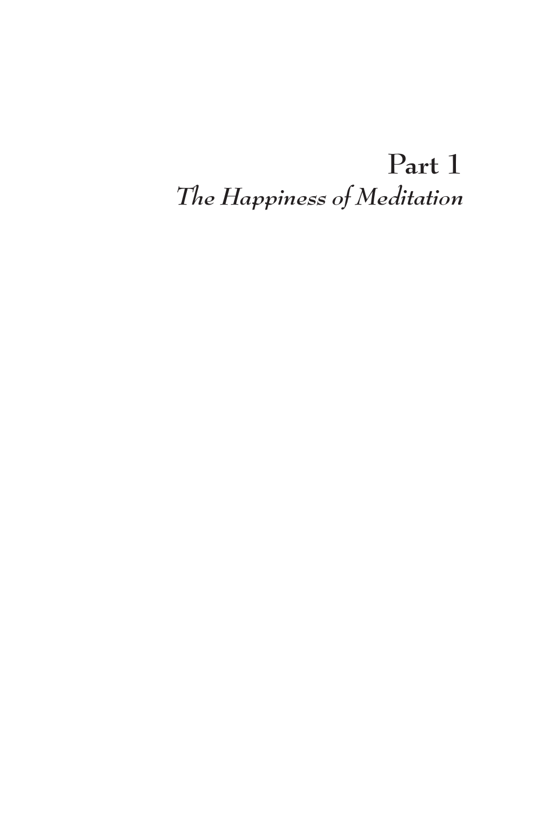## **Part 1 The Happiness of Meditation**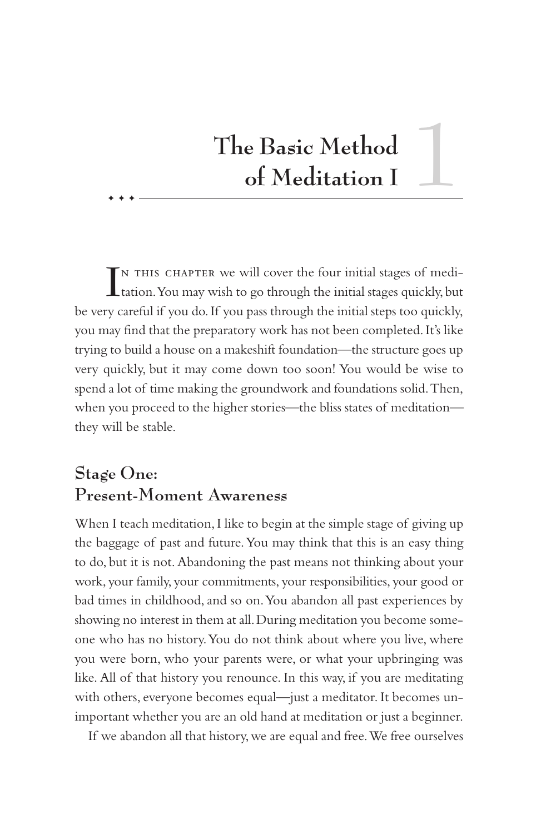## **The Basic Method o** Basic Method<br>of Meditation I

IN THIS CHAPTER we will cover the four initial stages of meditation. You may wish to go through the initial stages quickly, but  $\blacksquare$  in this chapter we will cover the four initial stages of medibe very careful if you do.If you pass through the initial steps too quickly, you may find that the preparatory work has not been completed.It's like trying to build a house on a makeshift foundation—the structure goes up very quickly, but it may come down too soon! You would be wise to spend a lot of time making the groundwork and foundations solid.Then, when you proceed to the higher stories—the bliss states of meditation they will be stable.

### **Stage One: Present-Moment Awareness**

**✦✦✦**

When I teach meditation, I like to begin at the simple stage of giving up the baggage of past and future.You may think that this is an easy thing to do, but it is not. Abandoning the past means not thinking about your work, your family, your commitments, your responsibilities, your good or bad times in childhood, and so on.You abandon all past experiences by showing no interest in them at all.During meditation you become someone who has no history.You do not think about where you live, where you were born, who your parents were, or what your upbringing was like. All of that history you renounce. In this way, if you are meditating with others, everyone becomes equal—just a meditator. It becomes unimportant whether you are an old hand at meditation or just a beginner.

If we abandon all that history, we are equal and free. We free ourselves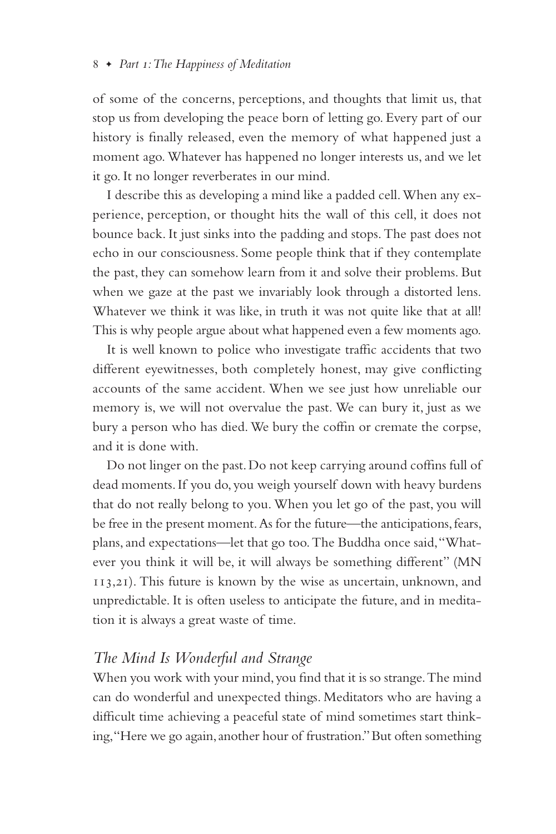#### 8 **✦** *Part 1:The Happiness of Meditation*

of some of the concerns, perceptions, and thoughts that limit us, that stop us from developing the peace born of letting go. Every part of our history is finally released, even the memory of what happened just a moment ago. Whatever has happened no longer interests us, and we let it go. It no longer reverberates in our mind.

I describe this as developing a mind like a padded cell.When any experience, perception, or thought hits the wall of this cell, it does not bounce back. It just sinks into the padding and stops. The past does not echo in our consciousness. Some people think that if they contemplate the past, they can somehow learn from it and solve their problems. But when we gaze at the past we invariably look through a distorted lens. Whatever we think it was like, in truth it was not quite like that at all! This is why people argue about what happened even a few moments ago.

It is well known to police who investigate traffic accidents that two different eyewitnesses, both completely honest, may give conflicting accounts of the same accident. When we see just how unreliable our memory is, we will not overvalue the past. We can bury it, just as we bury a person who has died. We bury the coffin or cremate the corpse, and it is done with.

Do not linger on the past.Do not keep carrying around coffins full of dead moments.If you do,you weigh yourself down with heavy burdens that do not really belong to you.When you let go of the past, you will be free in the present moment. As for the future—the anticipations, fears, plans, and expectations—let that go too.The Buddha once said,"Whatever you think it will be, it will always be something different" (MN 113,21). This future is known by the wise as uncertain, unknown, and unpredictable. It is often useless to anticipate the future, and in meditation it is always a great waste of time.

#### *The Mind Is Wonderful and Strange*

When you work with your mind, you find that it is so strange. The mind can do wonderful and unexpected things. Meditators who are having a difficult time achieving a peaceful state of mind sometimes start thinking,"Here we go again,another hour of frustration."But often something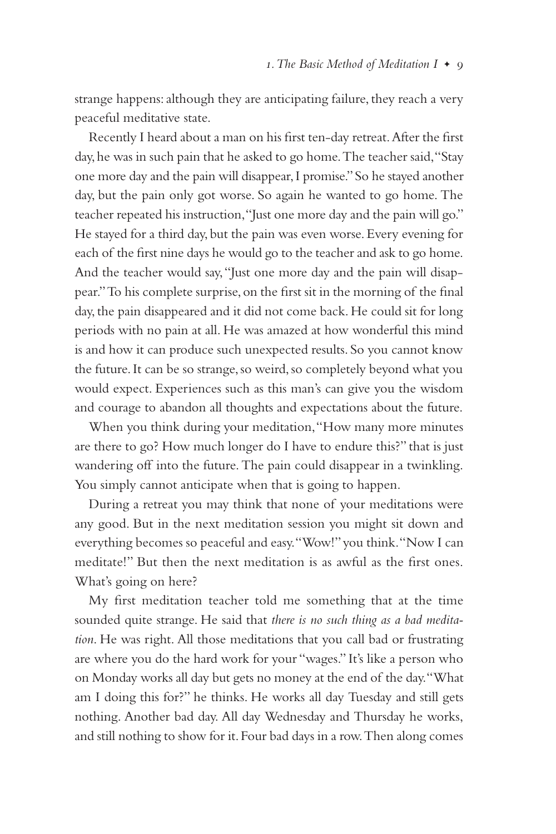strange happens: although they are anticipating failure, they reach a very peaceful meditative state.

Recently I heard about a man on his first ten-day retreat.After the first day, he was in such pain that he asked to go home. The teacher said, "Stay one more day and the pain will disappear,I promise."So he stayed another day, but the pain only got worse. So again he wanted to go home. The teacher repeated his instruction,"Just one more day and the pain will go." He stayed for a third day, but the pain was even worse. Every evening for each of the first nine days he would go to the teacher and ask to go home. And the teacher would say,"Just one more day and the pain will disappear."To his complete surprise,on the first sit in the morning of the final day, the pain disappeared and it did not come back. He could sit for long periods with no pain at all. He was amazed at how wonderful this mind is and how it can produce such unexpected results. So you cannot know the future. It can be so strange, so weird, so completely beyond what you would expect. Experiences such as this man's can give you the wisdom and courage to abandon all thoughts and expectations about the future.

When you think during your meditation,"How many more minutes are there to go? How much longer do I have to endure this?" that is just wandering off into the future. The pain could disappear in a twinkling. You simply cannot anticipate when that is going to happen.

During a retreat you may think that none of your meditations were any good. But in the next meditation session you might sit down and everything becomes so peaceful and easy."Wow!"you think."Now I can meditate!" But then the next meditation is as awful as the first ones. What's going on here?

My first meditation teacher told me something that at the time sounded quite strange. He said that *there is no such thing as a bad meditation*. He was right. All those meditations that you call bad or frustrating are where you do the hard work for your "wages." It's like a person who on Monday works all day but gets no money at the end of the day."What am I doing this for?" he thinks. He works all day Tuesday and still gets nothing. Another bad day. All day Wednesday and Thursday he works, and still nothing to show for it.Four bad days in a row.Then along comes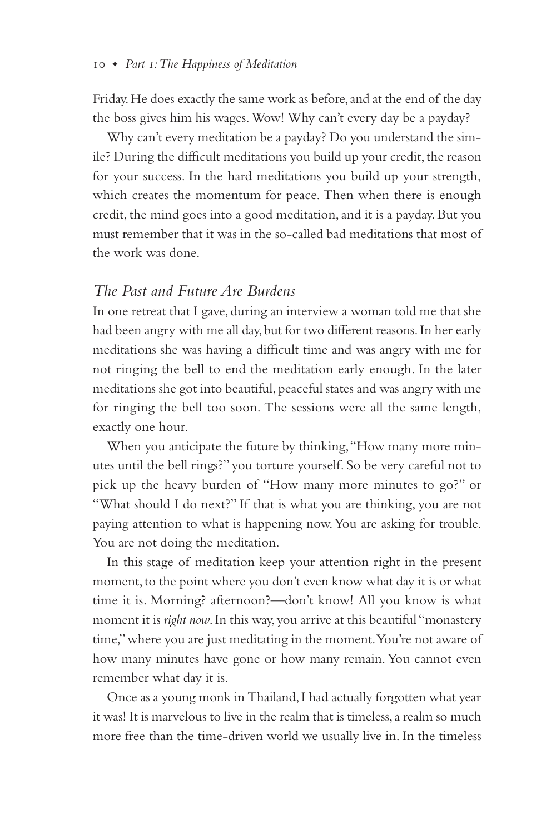Friday. He does exactly the same work as before, and at the end of the day the boss gives him his wages. Wow! Why can't every day be a payday?

Why can't every meditation be a payday? Do you understand the simile? During the difficult meditations you build up your credit, the reason for your success. In the hard meditations you build up your strength, which creates the momentum for peace. Then when there is enough credit, the mind goes into a good meditation, and it is a payday. But you must remember that it was in the so-called bad meditations that most of the work was done.

#### *The Past and Future Are Burdens*

In one retreat that I gave, during an interview a woman told me that she had been angry with me all day, but for two different reasons. In her early meditations she was having a difficult time and was angry with me for not ringing the bell to end the meditation early enough. In the later meditations she got into beautiful, peaceful states and was angry with me for ringing the bell too soon. The sessions were all the same length, exactly one hour.

When you anticipate the future by thinking, "How many more minutes until the bell rings?" you torture yourself. So be very careful not to pick up the heavy burden of "How many more minutes to go?" or "What should I do next?" If that is what you are thinking, you are not paying attention to what is happening now.You are asking for trouble. You are not doing the meditation.

In this stage of meditation keep your attention right in the present moment, to the point where you don't even know what day it is or what time it is. Morning? afternoon?—don't know! All you know is what moment it is *right now*. In this way, you arrive at this beautiful "monastery time,"where you are just meditating in the moment.You're not aware of how many minutes have gone or how many remain. You cannot even remember what day it is.

Once as a young monk in Thailand,I had actually forgotten what year it was! It is marvelous to live in the realm that is timeless, a realm so much more free than the time-driven world we usually live in. In the timeless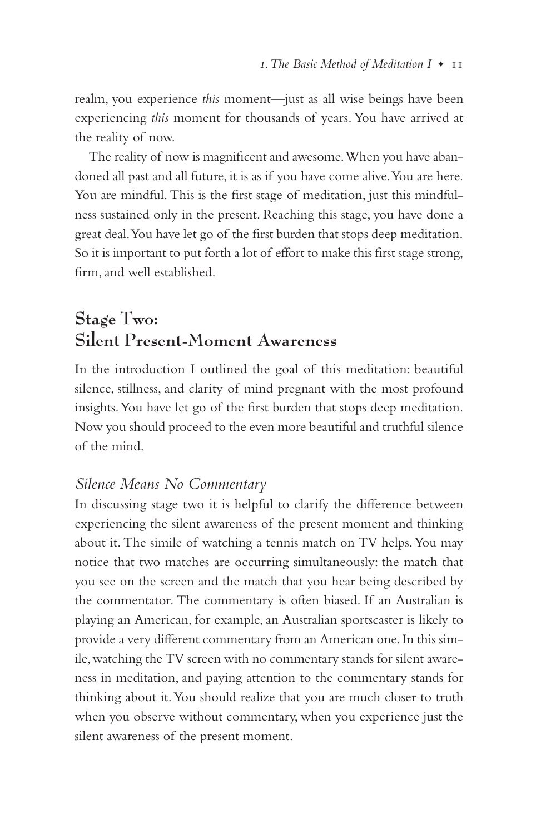realm, you experience *this* moment—just as all wise beings have been experiencing *this* moment for thousands of years. You have arrived at the reality of now.

The reality of now is magnificent and awesome.When you have abandoned all past and all future, it is as if you have come alive.You are here. You are mindful. This is the first stage of meditation, just this mindfulness sustained only in the present. Reaching this stage, you have done a great deal.You have let go of the first burden that stops deep meditation. So it is important to put forth a lot of effort to make this first stage strong, firm, and well established.

### **Stage Two: Silent Present-Moment Awareness**

In the introduction I outlined the goal of this meditation: beautiful silence, stillness, and clarity of mind pregnant with the most profound insights.You have let go of the first burden that stops deep meditation. Now you should proceed to the even more beautiful and truthful silence of the mind.

#### *Silence Means No Commentary*

In discussing stage two it is helpful to clarify the difference between experiencing the silent awareness of the present moment and thinking about it. The simile of watching a tennis match on TV helps.You may notice that two matches are occurring simultaneously: the match that you see on the screen and the match that you hear being described by the commentator. The commentary is often biased. If an Australian is playing an American, for example, an Australian sportscaster is likely to provide a very different commentary from an American one.In this simile,watching the TV screen with no commentary stands for silent awareness in meditation, and paying attention to the commentary stands for thinking about it.You should realize that you are much closer to truth when you observe without commentary, when you experience just the silent awareness of the present moment.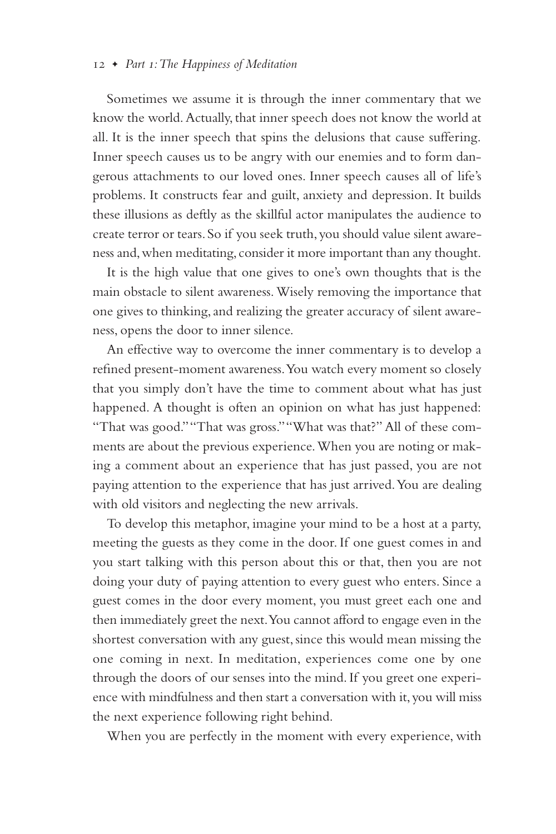#### 12 **✦** *Part 1:The Happiness of Meditation*

Sometimes we assume it is through the inner commentary that we know the world. Actually, that inner speech does not know the world at all. It is the inner speech that spins the delusions that cause suffering. Inner speech causes us to be angry with our enemies and to form dangerous attachments to our loved ones. Inner speech causes all of life's problems. It constructs fear and guilt, anxiety and depression. It builds these illusions as deftly as the skillful actor manipulates the audience to create terror or tears.So if you seek truth,you should value silent awareness and, when meditating, consider it more important than any thought.

It is the high value that one gives to one's own thoughts that is the main obstacle to silent awareness. Wisely removing the importance that one gives to thinking, and realizing the greater accuracy of silent awareness, opens the door to inner silence.

An effective way to overcome the inner commentary is to develop a refined present-moment awareness.You watch every moment so closely that you simply don't have the time to comment about what has just happened. A thought is often an opinion on what has just happened: "That was good.""That was gross.""What was that?" All of these comments are about the previous experience.When you are noting or making a comment about an experience that has just passed, you are not paying attention to the experience that has just arrived.You are dealing with old visitors and neglecting the new arrivals.

To develop this metaphor, imagine your mind to be a host at a party, meeting the guests as they come in the door. If one guest comes in and you start talking with this person about this or that, then you are not doing your duty of paying attention to every guest who enters. Since a guest comes in the door every moment, you must greet each one and then immediately greet the next.You cannot afford to engage even in the shortest conversation with any guest, since this would mean missing the one coming in next. In meditation, experiences come one by one through the doors of our senses into the mind. If you greet one experience with mindfulness and then start a conversation with it, you will miss the next experience following right behind.

When you are perfectly in the moment with every experience, with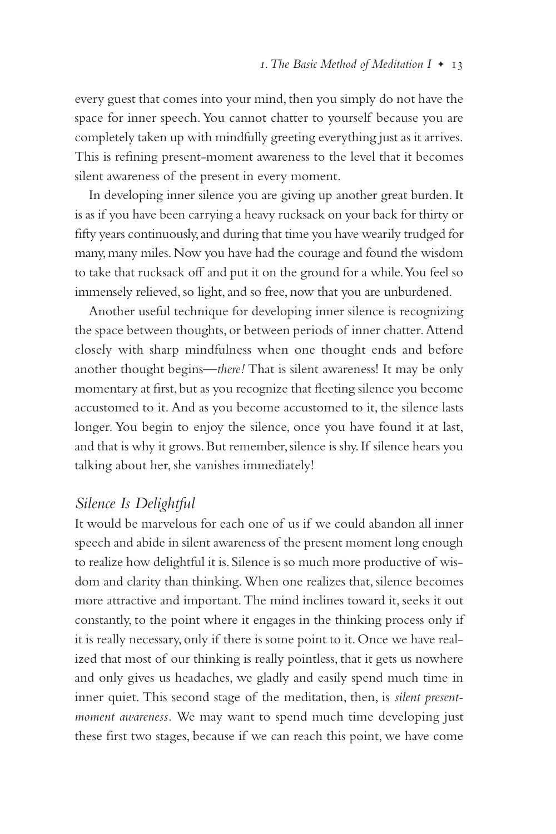every guest that comes into your mind, then you simply do not have the space for inner speech. You cannot chatter to yourself because you are completely taken up with mindfully greeting everything just as it arrives. This is refining present-moment awareness to the level that it becomes silent awareness of the present in every moment.

In developing inner silence you are giving up another great burden. It is as if you have been carrying a heavy rucksack on your back for thirty or fifty years continuously,and during that time you have wearily trudged for many,many miles.Now you have had the courage and found the wisdom to take that rucksack off and put it on the ground for a while.You feel so immensely relieved, so light, and so free, now that you are unburdened.

Another useful technique for developing inner silence is recognizing the space between thoughts, or between periods of inner chatter.Attend closely with sharp mindfulness when one thought ends and before another thought begins—*there!* That is silent awareness! It may be only momentary at first, but as you recognize that fleeting silence you become accustomed to it. And as you become accustomed to it, the silence lasts longer. You begin to enjoy the silence, once you have found it at last, and that is why it grows. But remember, silence is shy. If silence hears you talking about her, she vanishes immediately!

#### *Silence Is Delightful*

It would be marvelous for each one of us if we could abandon all inner speech and abide in silent awareness of the present moment long enough to realize how delightful it is.Silence is so much more productive of wisdom and clarity than thinking.When one realizes that, silence becomes more attractive and important. The mind inclines toward it, seeks it out constantly, to the point where it engages in the thinking process only if it is really necessary, only if there is some point to it. Once we have realized that most of our thinking is really pointless, that it gets us nowhere and only gives us headaches, we gladly and easily spend much time in inner quiet. This second stage of the meditation, then, is *silent presentmoment awareness.* We may want to spend much time developing just these first two stages, because if we can reach this point, we have come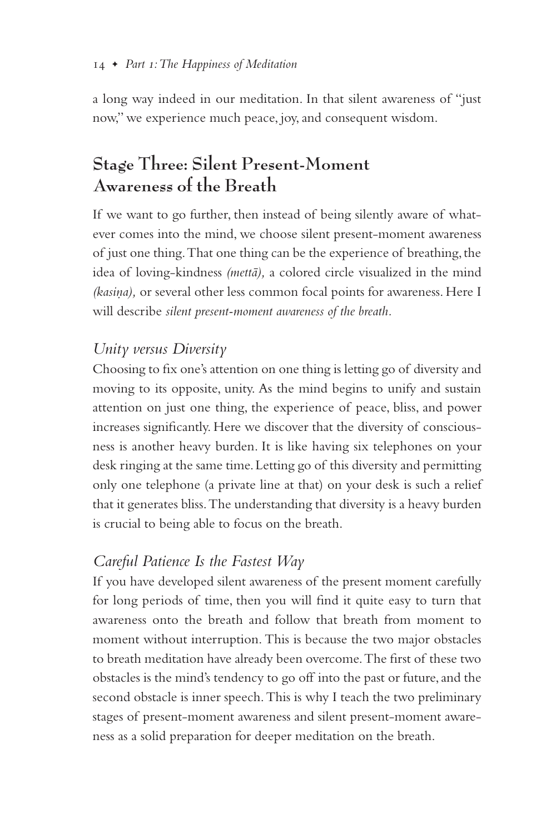a long way indeed in our meditation. In that silent awareness of "just now," we experience much peace, joy, and consequent wisdom.

## **Stage Three: Silent Present-Moment Awareness of the Breath**

If we want to go further, then instead of being silently aware of whatever comes into the mind, we choose silent present-moment awareness of just one thing. That one thing can be the experience of breathing, the idea of loving-kindness *(mettā)*, a colored circle visualized in the mind *(kasina)*, or several other less common focal points for awareness. Here I will describe *silent present-moment awareness of the breath.*

#### *Unity versus Diversity*

Choosing to fix one's attention on one thing is letting go of diversity and moving to its opposite, unity. As the mind begins to unify and sustain attention on just one thing, the experience of peace, bliss, and power increases significantly. Here we discover that the diversity of consciousness is another heavy burden. It is like having six telephones on your desk ringing at the same time.Letting go of this diversity and permitting only one telephone (a private line at that) on your desk is such a relief that it generates bliss.The understanding that diversity is a heavy burden is crucial to being able to focus on the breath.

#### *Careful Patience Is the Fastest Way*

If you have developed silent awareness of the present moment carefully for long periods of time, then you will find it quite easy to turn that awareness onto the breath and follow that breath from moment to moment without interruption. This is because the two major obstacles to breath meditation have already been overcome.The first of these two obstacles is the mind's tendency to go off into the past or future, and the second obstacle is inner speech.This is why I teach the two preliminary stages of present-moment awareness and silent present-moment awareness as a solid preparation for deeper meditation on the breath.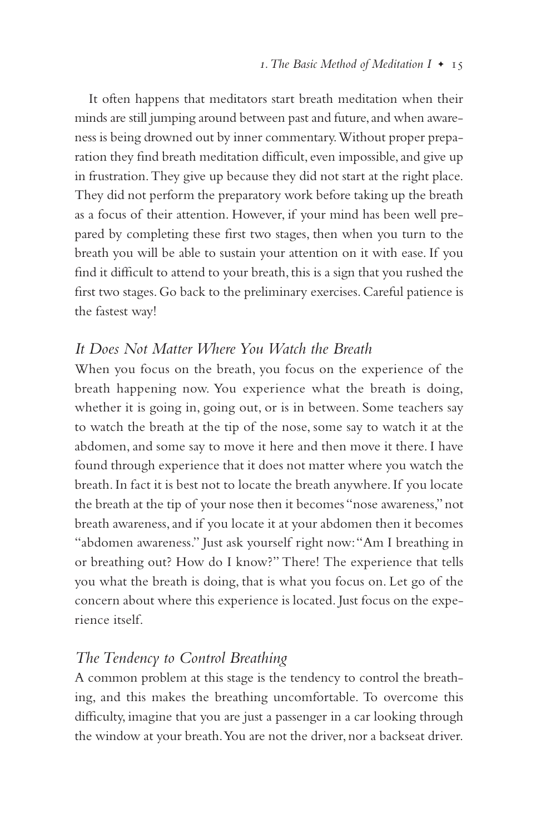It often happens that meditators start breath meditation when their minds are still jumping around between past and future, and when awareness is being drowned out by inner commentary.Without proper preparation they find breath meditation difficult, even impossible, and give up in frustration.They give up because they did not start at the right place. They did not perform the preparatory work before taking up the breath as a focus of their attention. However, if your mind has been well prepared by completing these first two stages, then when you turn to the breath you will be able to sustain your attention on it with ease. If you find it difficult to attend to your breath, this is a sign that you rushed the first two stages. Go back to the preliminary exercises. Careful patience is the fastest way!

#### *It Does Not Matter Where You Watch the Breath*

When you focus on the breath, you focus on the experience of the breath happening now. You experience what the breath is doing, whether it is going in, going out, or is in between. Some teachers say to watch the breath at the tip of the nose, some say to watch it at the abdomen, and some say to move it here and then move it there. I have found through experience that it does not matter where you watch the breath. In fact it is best not to locate the breath anywhere. If you locate the breath at the tip of your nose then it becomes "nose awareness," not breath awareness, and if you locate it at your abdomen then it becomes "abdomen awareness." Just ask yourself right now:"Am I breathing in or breathing out? How do I know?" There! The experience that tells you what the breath is doing, that is what you focus on. Let go of the concern about where this experience is located. Just focus on the experience itself.

#### *The Tendency to Control Breathing*

A common problem at this stage is the tendency to control the breathing, and this makes the breathing uncomfortable. To overcome this difficulty, imagine that you are just a passenger in a car looking through the window at your breath.You are not the driver, nor a backseat driver.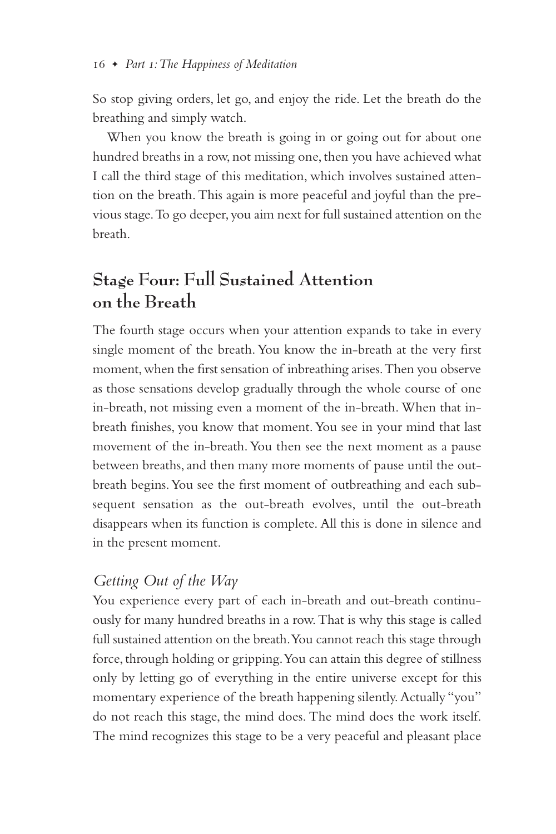So stop giving orders, let go, and enjoy the ride. Let the breath do the breathing and simply watch.

When you know the breath is going in or going out for about one hundred breaths in a row, not missing one, then you have achieved what I call the third stage of this meditation, which involves sustained attention on the breath. This again is more peaceful and joyful than the previous stage.To go deeper,you aim next for full sustained attention on the breath.

### **Stage Four: Full Sustained Attention on the Breath**

The fourth stage occurs when your attention expands to take in every single moment of the breath. You know the in-breath at the very first moment, when the first sensation of inbreathing arises. Then you observe as those sensations develop gradually through the whole course of one in-breath, not missing even a moment of the in-breath. When that inbreath finishes, you know that moment.You see in your mind that last movement of the in-breath. You then see the next moment as a pause between breaths, and then many more moments of pause until the outbreath begins.You see the first moment of outbreathing and each subsequent sensation as the out-breath evolves, until the out-breath disappears when its function is complete. All this is done in silence and in the present moment.

#### *Getting Out of the Way*

You experience every part of each in-breath and out-breath continuously for many hundred breaths in a row. That is why this stage is called full sustained attention on the breath.You cannot reach this stage through force, through holding or gripping. You can attain this degree of stillness only by letting go of everything in the entire universe except for this momentary experience of the breath happening silently. Actually "you" do not reach this stage, the mind does. The mind does the work itself. The mind recognizes this stage to be a very peaceful and pleasant place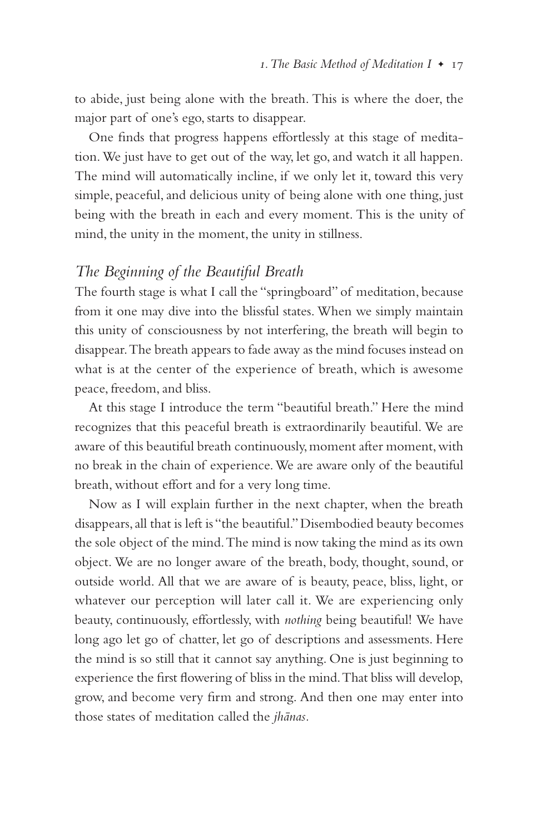to abide, just being alone with the breath. This is where the doer, the major part of one's ego, starts to disappear.

One finds that progress happens effortlessly at this stage of meditation. We just have to get out of the way, let go, and watch it all happen. The mind will automatically incline, if we only let it, toward this very simple, peaceful, and delicious unity of being alone with one thing, just being with the breath in each and every moment. This is the unity of mind, the unity in the moment, the unity in stillness.

#### *The Beginning of the Beautiful Breath*

The fourth stage is what I call the "springboard" of meditation, because from it one may dive into the blissful states. When we simply maintain this unity of consciousness by not interfering, the breath will begin to disappear.The breath appears to fade away as the mind focuses instead on what is at the center of the experience of breath, which is awesome peace, freedom, and bliss.

At this stage I introduce the term "beautiful breath." Here the mind recognizes that this peaceful breath is extraordinarily beautiful. We are aware of this beautiful breath continuously, moment after moment, with no break in the chain of experience.We are aware only of the beautiful breath, without effort and for a very long time.

Now as I will explain further in the next chapter, when the breath disappears,all that is left is "the beautiful."Disembodied beauty becomes the sole object of the mind.The mind is now taking the mind as its own object. We are no longer aware of the breath, body, thought, sound, or outside world. All that we are aware of is beauty, peace, bliss, light, or whatever our perception will later call it. We are experiencing only beauty, continuously, effortlessly, with *nothing* being beautiful! We have long ago let go of chatter, let go of descriptions and assessments. Here the mind is so still that it cannot say anything. One is just beginning to experience the first flowering of bliss in the mind.That bliss will develop, grow, and become very firm and strong. And then one may enter into those states of meditation called the *jhanas*.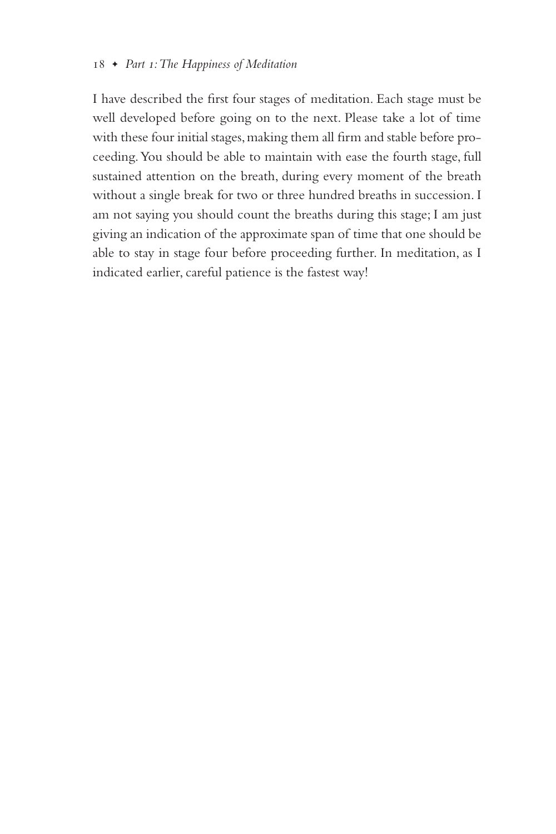#### 18 **✦** *Part 1:The Happiness of Meditation*

I have described the first four stages of meditation. Each stage must be well developed before going on to the next. Please take a lot of time with these four initial stages, making them all firm and stable before proceeding.You should be able to maintain with ease the fourth stage, full sustained attention on the breath, during every moment of the breath without a single break for two or three hundred breaths in succession. I am not saying you should count the breaths during this stage; I am just giving an indication of the approximate span of time that one should be able to stay in stage four before proceeding further. In meditation, as I indicated earlier, careful patience is the fastest way!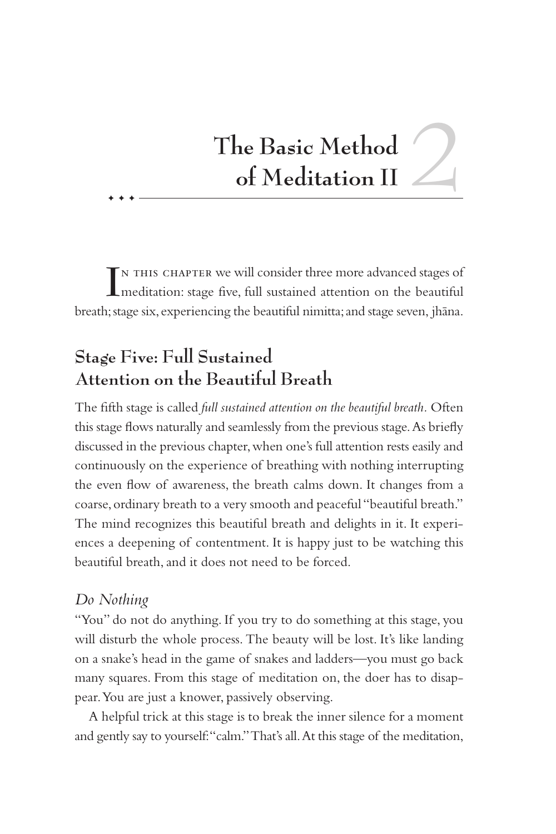## **The Basic Method of Meditation II**

IN THIS CHAPTER we will consider three more advanced stages of meditation: stage five, full sustained attention on the beautiful n this chapter we will consider three more advanced stages of breath; stage six, experiencing the beautiful nimitta; and stage seven, jhāna.

## **Stage Five: Full Sustained Attention on the Beautiful Breath**

The fifth stage is called *full sustained attention on the beautiful breath.* Often this stage flows naturally and seamlessly from the previous stage.As briefly discussed in the previous chapter,when one's full attention rests easily and continuously on the experience of breathing with nothing interrupting the even flow of awareness, the breath calms down. It changes from a coarse, ordinary breath to a very smooth and peaceful "beautiful breath." The mind recognizes this beautiful breath and delights in it. It experiences a deepening of contentment. It is happy just to be watching this beautiful breath, and it does not need to be forced.

#### *Do Nothing*

**✦✦✦**

"You" do not do anything. If you try to do something at this stage, you will disturb the whole process. The beauty will be lost. It's like landing on a snake's head in the game of snakes and ladders—you must go back many squares. From this stage of meditation on, the doer has to disappear.You are just a knower, passively observing.

A helpful trick at this stage is to break the inner silence for a moment and gently say to yourself:"calm."That's all.At this stage of the meditation,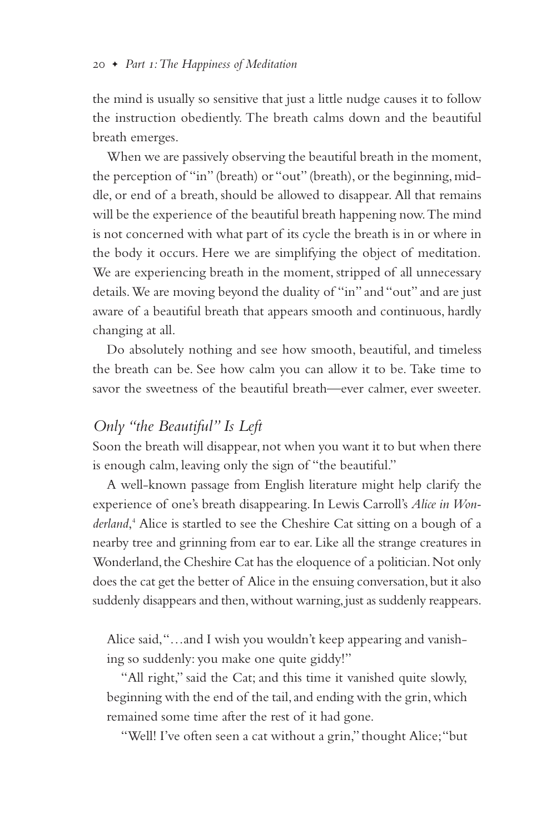the mind is usually so sensitive that just a little nudge causes it to follow the instruction obediently. The breath calms down and the beautiful breath emerges.

When we are passively observing the beautiful breath in the moment, the perception of "in" (breath) or "out" (breath), or the beginning, middle, or end of a breath, should be allowed to disappear. All that remains will be the experience of the beautiful breath happening now.The mind is not concerned with what part of its cycle the breath is in or where in the body it occurs. Here we are simplifying the object of meditation. We are experiencing breath in the moment, stripped of all unnecessary details.We are moving beyond the duality of "in" and "out" and are just aware of a beautiful breath that appears smooth and continuous, hardly changing at all.

Do absolutely nothing and see how smooth, beautiful, and timeless the breath can be. See how calm you can allow it to be. Take time to savor the sweetness of the beautiful breath—ever calmer, ever sweeter.

#### *Only "the Beautiful" Is Left*

Soon the breath will disappear, not when you want it to but when there is enough calm, leaving only the sign of "the beautiful."

A well-known passage from English literature might help clarify the experience of one's breath disappearing. In Lewis Carroll's *Alice in Wonderland*, <sup>4</sup> Alice is startled to see the Cheshire Cat sitting on a bough of a nearby tree and grinning from ear to ear. Like all the strange creatures in Wonderland, the Cheshire Cat has the eloquence of a politician. Not only does the cat get the better of Alice in the ensuing conversation, but it also suddenly disappears and then, without warning, just as suddenly reappears.

Alice said,"…and I wish you wouldn't keep appearing and vanishing so suddenly: you make one quite giddy!"

"All right," said the Cat; and this time it vanished quite slowly, beginning with the end of the tail, and ending with the grin, which remained some time after the rest of it had gone.

"Well! I've often seen a cat without a grin," thought Alice;"but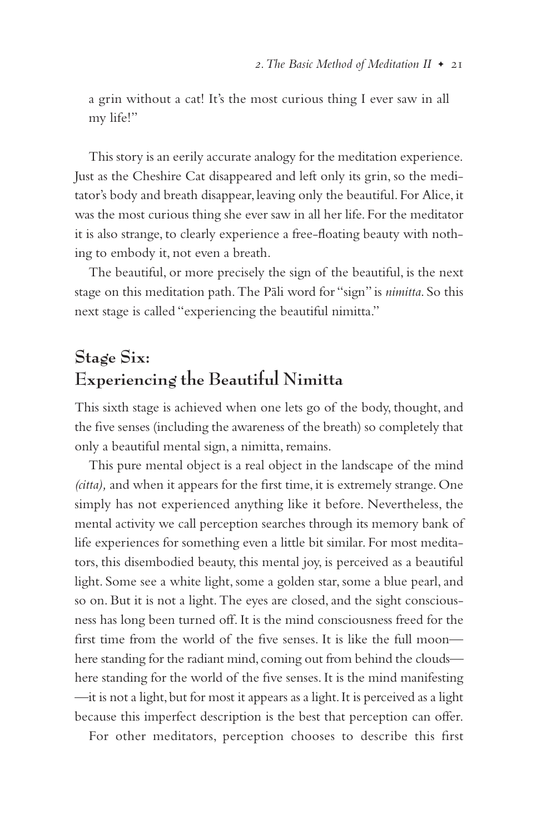a grin without a cat! It's the most curious thing I ever saw in all my life!"

This story is an eerily accurate analogy for the meditation experience. Just as the Cheshire Cat disappeared and left only its grin, so the meditator's body and breath disappear, leaving only the beautiful. For Alice, it was the most curious thing she ever saw in all her life. For the meditator it is also strange, to clearly experience a free-floating beauty with nothing to embody it, not even a breath.

The beautiful, or more precisely the sign of the beautiful, is the next stage on this meditation path. The Pali word for "sign" is *nimitta*. So this next stage is called "experiencing the beautiful nimitta."

#### **Stage Six: Experiencing the Beautiful Nimitta**

This sixth stage is achieved when one lets go of the body, thought, and the five senses (including the awareness of the breath) so completely that only a beautiful mental sign, a nimitta, remains.

This pure mental object is a real object in the landscape of the mind *(citta),* and when it appears for the first time, it is extremely strange. One simply has not experienced anything like it before. Nevertheless, the mental activity we call perception searches through its memory bank of life experiences for something even a little bit similar. For most meditators, this disembodied beauty, this mental joy, is perceived as a beautiful light. Some see a white light, some a golden star, some a blue pearl, and so on. But it is not a light. The eyes are closed, and the sight consciousness has long been turned off. It is the mind consciousness freed for the first time from the world of the five senses. It is like the full moon here standing for the radiant mind, coming out from behind the clouds here standing for the world of the five senses. It is the mind manifesting —it is not a light, but for most it appears as a light. It is perceived as a light because this imperfect description is the best that perception can offer.

For other meditators, perception chooses to describe this first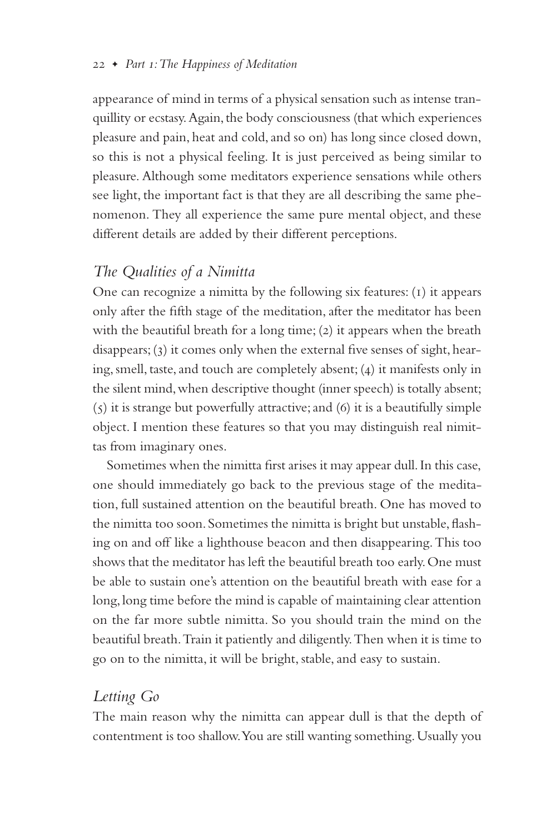#### 22 **✦** *Part 1:The Happiness of Meditation*

appearance of mind in terms of a physical sensation such as intense tranquillity or ecstasy.Again,the body consciousness (that which experiences pleasure and pain, heat and cold, and so on) has long since closed down, so this is not a physical feeling. It is just perceived as being similar to pleasure. Although some meditators experience sensations while others see light, the important fact is that they are all describing the same phenomenon. They all experience the same pure mental object, and these different details are added by their different perceptions.

#### *The Qualities of a Nimitta*

One can recognize a nimitta by the following six features: (1) it appears only after the fifth stage of the meditation, after the meditator has been with the beautiful breath for a long time; (2) it appears when the breath disappears;  $(3)$  it comes only when the external five senses of sight, hearing, smell, taste, and touch are completely absent; (4) it manifests only in the silent mind,when descriptive thought (inner speech) is totally absent; (5) it is strange but powerfully attractive; and (6) it is a beautifully simple object. I mention these features so that you may distinguish real nimittas from imaginary ones.

Sometimes when the nimitta first arises it may appear dull. In this case, one should immediately go back to the previous stage of the meditation, full sustained attention on the beautiful breath. One has moved to the nimitta too soon.Sometimes the nimitta is bright but unstable, flashing on and off like a lighthouse beacon and then disappearing.This too shows that the meditator has left the beautiful breath too early.One must be able to sustain one's attention on the beautiful breath with ease for a long, long time before the mind is capable of maintaining clear attention on the far more subtle nimitta. So you should train the mind on the beautiful breath.Train it patiently and diligently.Then when it is time to go on to the nimitta, it will be bright, stable, and easy to sustain.

#### *Letting Go*

The main reason why the nimitta can appear dull is that the depth of contentment is too shallow.You are still wanting something.Usually you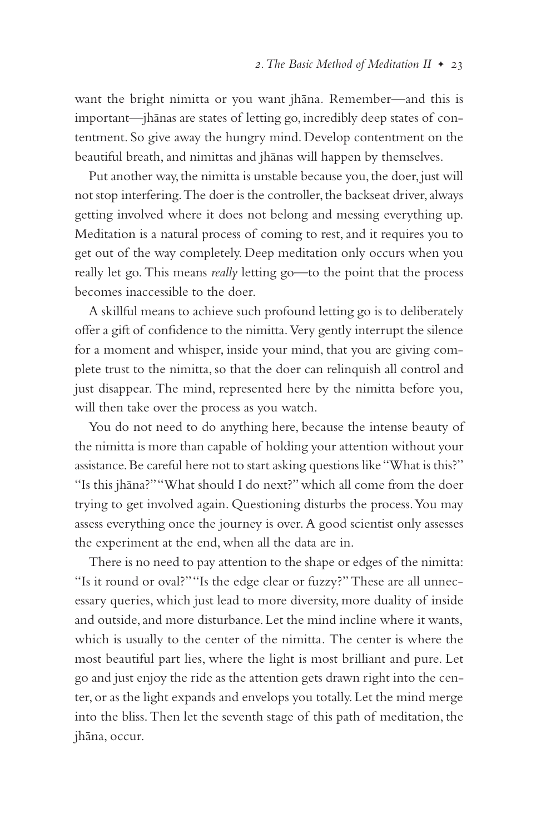want the bright nimitta or you want jhana. Remember—and this is important—jhānas are states of letting go, incredibly deep states of contentment. So give away the hungry mind. Develop contentment on the beautiful breath, and nimittas and jhanas will happen by themselves.

Put another way, the nimitta is unstable because you, the doer, just will not stop interfering. The doer is the controller, the backseat driver, always getting involved where it does not belong and messing everything up. Meditation is a natural process of coming to rest, and it requires you to get out of the way completely. Deep meditation only occurs when you really let go. This means *really* letting go*—*to the point that the process becomes inaccessible to the doer.

A skillful means to achieve such profound letting go is to deliberately offer a gift of confidence to the nimitta.Very gently interrupt the silence for a moment and whisper, inside your mind, that you are giving complete trust to the nimitta, so that the doer can relinquish all control and just disappear. The mind, represented here by the nimitta before you, will then take over the process as you watch.

You do not need to do anything here, because the intense beauty of the nimitta is more than capable of holding your attention without your assistance.Be careful here not to start asking questions like "What is this?" "Is this jhana?""What should I do next?" which all come from the doer trying to get involved again. Questioning disturbs the process.You may assess everything once the journey is over. A good scientist only assesses the experiment at the end, when all the data are in.

There is no need to pay attention to the shape or edges of the nimitta: "Is it round or oval?""Is the edge clear or fuzzy?"These are all unnecessary queries, which just lead to more diversity, more duality of inside and outside, and more disturbance. Let the mind incline where it wants, which is usually to the center of the nimitta*.* The center is where the most beautiful part lies, where the light is most brilliant and pure. Let go and just enjoy the ride as the attention gets drawn right into the center,or as the light expands and envelops you totally.Let the mind merge into the bliss. Then let the seventh stage of this path of meditation, the jhāna, occur.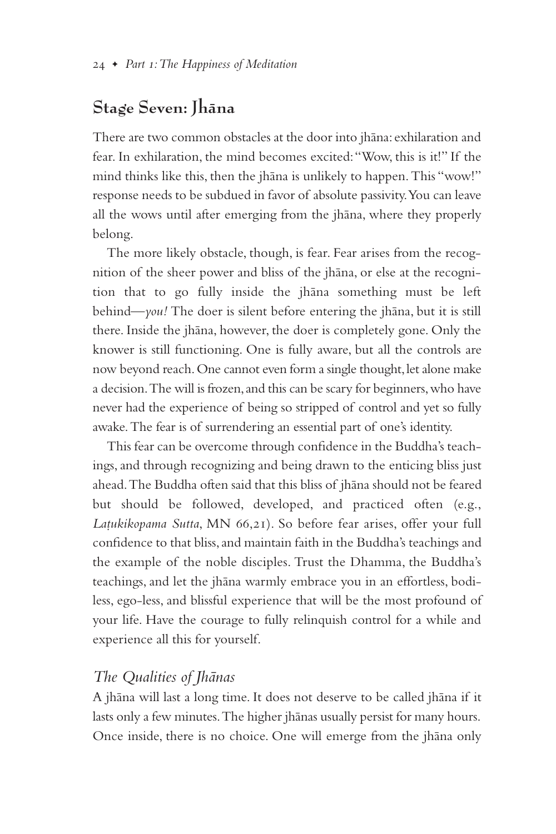#### Stage Seven: Jhāna

There are two common obstacles at the door into jhana: exhilaration and fear. In exhilaration, the mind becomes excited:"Wow, this is it!" If the mind thinks like this, then the jhana is unlikely to happen. This "wow!" response needs to be subdued in favor of absolute passivity.You can leave all the wows until after emerging from the jhana, where they properly belong.

The more likely obstacle, though, is fear. Fear arises from the recognition of the sheer power and bliss of the jhana, or else at the recognition that to go fully inside the jhana something must be left behind—*you!* The doer is silent before entering the jhāna, but it is still there. Inside the jhana, however, the doer is completely gone. Only the knower is still functioning. One is fully aware, but all the controls are now beyond reach. One cannot even form a single thought, let alone make a decision. The will is frozen, and this can be scary for beginners, who have never had the experience of being so stripped of control and yet so fully awake.The fear is of surrendering an essential part of one's identity.

This fear can be overcome through confidence in the Buddha's teachings, and through recognizing and being drawn to the enticing bliss just ahead. The Buddha often said that this bliss of jhana should not be feared but should be followed, developed, and practiced often (e.g., *La˛ukikopama Sutta*, MN 66,21). So before fear arises, offer your full confidence to that bliss, and maintain faith in the Buddha's teachings and the example of the noble disciples. Trust the Dhamma, the Buddha's teachings, and let the jhana warmly embrace you in an effortless, bodiless, ego-less, and blissful experience that will be the most profound of your life. Have the courage to fully relinquish control for a while and experience all this for yourself.

#### *The Qualities of Jhānas*

A jhāna will last a long time. It does not deserve to be called jhāna if it lasts only a few minutes. The higher jhanas usually persist for many hours. Once inside, there is no choice. One will emerge from the jhana only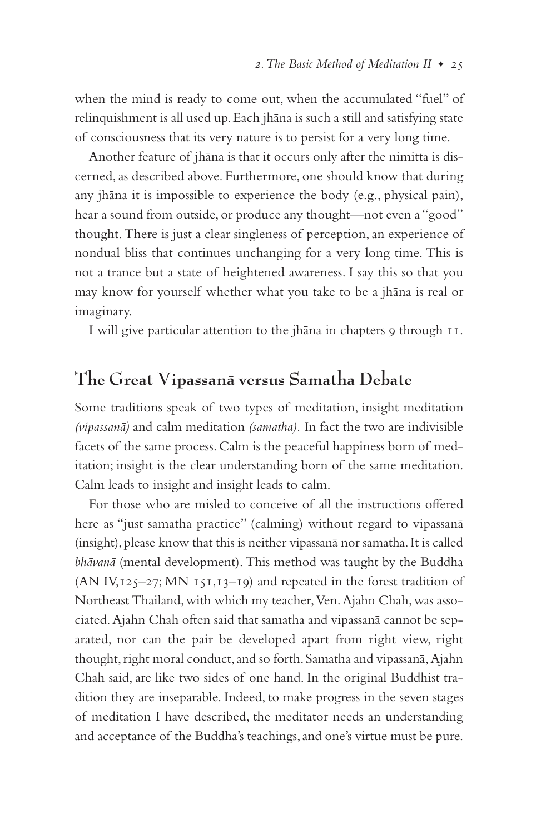when the mind is ready to come out, when the accumulated "fuel" of relinquishment is all used up. Each jhana is such a still and satisfying state of consciousness that its very nature is to persist for a very long time.

Another feature of jhana is that it occurs only after the nimitta is discerned, as described above. Furthermore, one should know that during any jhāna it is impossible to experience the body (e.g., physical pain), hear a sound from outside, or produce any thought—not even a "good" thought.There is just a clear singleness of perception, an experience of nondual bliss that continues unchanging for a very long time. This is not a trance but a state of heightened awareness. I say this so that you may know for yourself whether what you take to be a jhana is real or imaginary.

I will give particular attention to the jhana in chapters 9 through 11.

#### **The Great Vipassana¯ versus Samatha Debate**

Some traditions speak of two types of meditation, insight meditation *(vipassanā)* and calm meditation *(samatha)*. In fact the two are indivisible facets of the same process. Calm is the peaceful happiness born of meditation; insight is the clear understanding born of the same meditation. Calm leads to insight and insight leads to calm.

For those who are misled to conceive of all the instructions offered here as "just samatha practice" (calming) without regard to vipassana (insight), please know that this is neither vipassana nor samatha. It is called bhāvanā (mental development). This method was taught by the Buddha (AN IV,  $125-27$ ; MN  $151$ ,  $13-19$ ) and repeated in the forest tradition of Northeast Thailand, with which my teacher, Ven. Ajahn Chah, was associated. Ajahn Chah often said that samatha and vipassanā cannot be separated, nor can the pair be developed apart from right view, right thought, right moral conduct, and so forth. Samatha and vipassanā, Ajahn Chah said, are like two sides of one hand. In the original Buddhist tradition they are inseparable. Indeed, to make progress in the seven stages of meditation I have described, the meditator needs an understanding and acceptance of the Buddha's teachings, and one's virtue must be pure.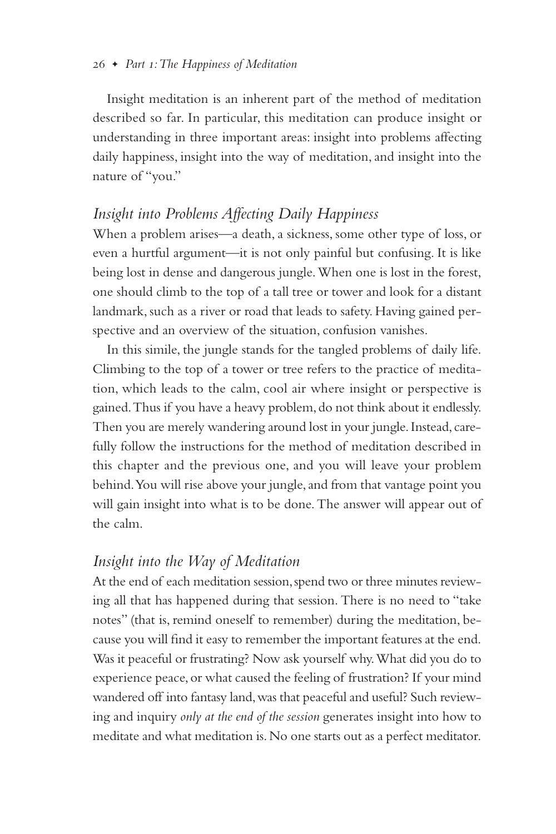#### 26 **✦** *Part 1:The Happiness of Meditation*

Insight meditation is an inherent part of the method of meditation described so far. In particular, this meditation can produce insight or understanding in three important areas: insight into problems affecting daily happiness, insight into the way of meditation, and insight into the nature of "you."

#### *Insight into Problems Affecting Daily Happiness*

When a problem arises—a death, a sickness, some other type of loss, or even a hurtful argument—it is not only painful but confusing. It is like being lost in dense and dangerous jungle.When one is lost in the forest, one should climb to the top of a tall tree or tower and look for a distant landmark, such as a river or road that leads to safety. Having gained perspective and an overview of the situation, confusion vanishes.

In this simile, the jungle stands for the tangled problems of daily life. Climbing to the top of a tower or tree refers to the practice of meditation, which leads to the calm, cool air where insight or perspective is gained. Thus if you have a heavy problem, do not think about it endlessly. Then you are merely wandering around lost in your jungle. Instead, carefully follow the instructions for the method of meditation described in this chapter and the previous one, and you will leave your problem behind. You will rise above your jungle, and from that vantage point you will gain insight into what is to be done.The answer will appear out of the calm.

#### *Insight into the Way of Meditation*

At the end of each meditation session, spend two or three minutes reviewing all that has happened during that session. There is no need to "take notes" (that is, remind oneself to remember) during the meditation, because you will find it easy to remember the important features at the end. Was it peaceful or frustrating? Now ask yourself why.What did you do to experience peace, or what caused the feeling of frustration? If your mind wandered off into fantasy land, was that peaceful and useful? Such reviewing and inquiry *only at the end of the session* generates insight into how to meditate and what meditation is. No one starts out as a perfect meditator.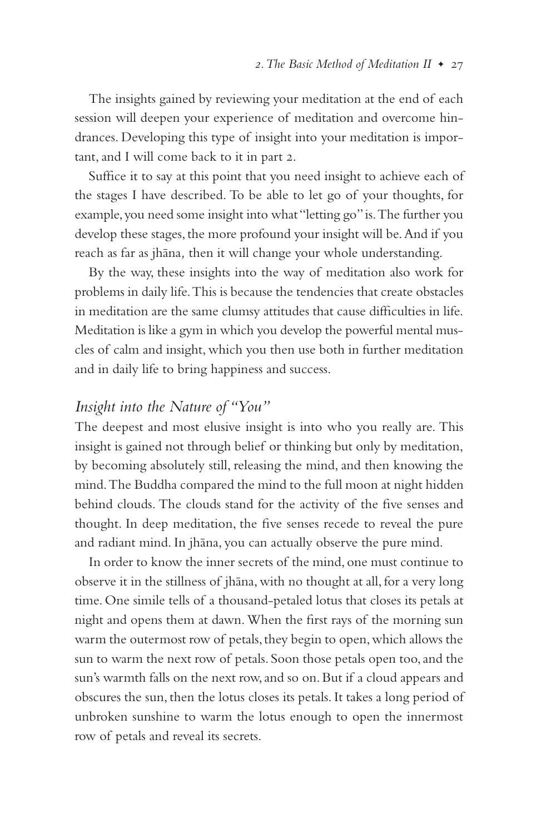The insights gained by reviewing your meditation at the end of each session will deepen your experience of meditation and overcome hindrances. Developing this type of insight into your meditation is important, and I will come back to it in part 2.

Suffice it to say at this point that you need insight to achieve each of the stages I have described. To be able to let go of your thoughts, for example, you need some insight into what "letting go" is. The further you develop these stages, the more profound your insight will be.And if you reach as far as jhāna, then it will change your whole understanding.

By the way, these insights into the way of meditation also work for problems in daily life.This is because the tendencies that create obstacles in meditation are the same clumsy attitudes that cause difficulties in life. Meditation is like a gym in which you develop the powerful mental muscles of calm and insight, which you then use both in further meditation and in daily life to bring happiness and success.

#### *Insight into the Nature of "You"*

The deepest and most elusive insight is into who you really are. This insight is gained not through belief or thinking but only by meditation, by becoming absolutely still, releasing the mind, and then knowing the mind.The Buddha compared the mind to the full moon at night hidden behind clouds. The clouds stand for the activity of the five senses and thought. In deep meditation, the five senses recede to reveal the pure and radiant mind. In jhana, you can actually observe the pure mind.

In order to know the inner secrets of the mind, one must continue to observe it in the stillness of jhana, with no thought at all, for a very long time. One simile tells of a thousand-petaled lotus that closes its petals at night and opens them at dawn. When the first rays of the morning sun warm the outermost row of petals, they begin to open, which allows the sun to warm the next row of petals. Soon those petals open too, and the sun's warmth falls on the next row, and so on. But if a cloud appears and obscures the sun, then the lotus closes its petals. It takes a long period of unbroken sunshine to warm the lotus enough to open the innermost row of petals and reveal its secrets.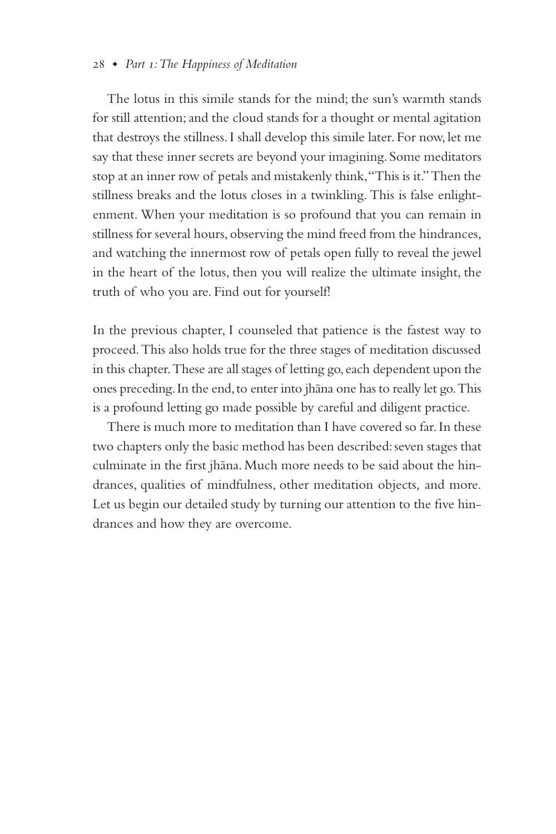#### 28 **✦** *Part 1:The Happiness of Meditation*

The lotus in this simile stands for the mind; the sun's warmth stands for still attention; and the cloud stands for a thought or mental agitation that destroys the stillness. I shall develop this simile later. For now, let me say that these inner secrets are beyond your imagining. Some meditators stop at an inner row of petals and mistakenly think,"This is it."Then the stillness breaks and the lotus closes in a twinkling. This is false enlightenment. When your meditation is so profound that you can remain in stillness for several hours, observing the mind freed from the hindrances, and watching the innermost row of petals open fully to reveal the jewel in the heart of the lotus, then you will realize the ultimate insight, the truth of who you are. Find out for yourself!

In the previous chapter, I counseled that patience is the fastest way to proceed.This also holds true for the three stages of meditation discussed in this chapter. These are all stages of letting go, each dependent upon the ones preceding. In the end, to enter into jhana one has to really let go. This is a profound letting go made possible by careful and diligent practice.

There is much more to meditation than I have covered so far.In these two chapters only the basic method has been described: seven stages that culminate in the first jhana. Much more needs to be said about the hindrances, qualities of mindfulness, other meditation objects*,* and more. Let us begin our detailed study by turning our attention to the five hindrances and how they are overcome.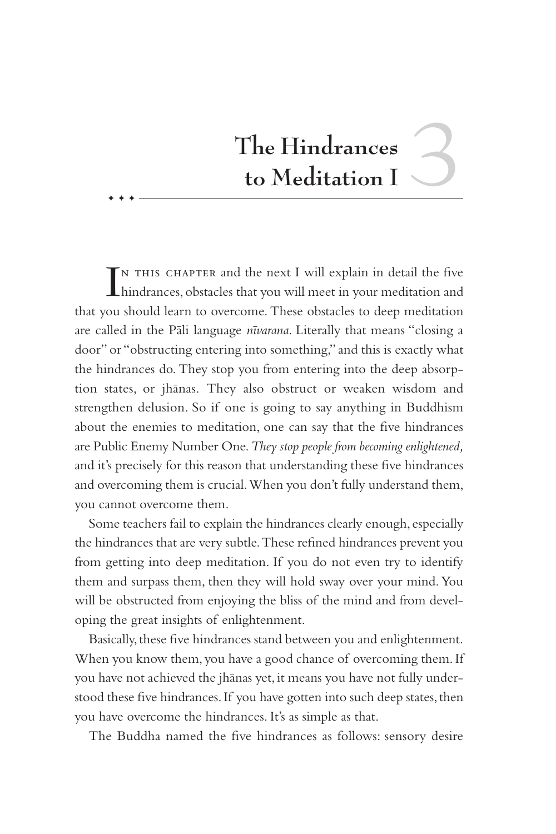## **The Hindrances**  The Hindrances<br>to Meditation I

IN THIS CHAPTER and the next I will explain in detail the five hindrances, obstacles that you will meet in your meditation and  $\blacksquare$  is the star and the next I will explain in detail the five that you should learn to overcome. These obstacles to deep meditation are called in the Pali language *nivarana*. Literally that means "closing a door" or "obstructing entering into something," and this is exactly what the hindrances do. They stop you from entering into the deep absorption states, or jhanas. They also obstruct or weaken wisdom and strengthen delusion. So if one is going to say anything in Buddhism about the enemies to meditation, one can say that the five hindrances are Public Enemy Number One.*They stop people from becoming enlightened,* and it's precisely for this reason that understanding these five hindrances and overcoming them is crucial.When you don't fully understand them, you cannot overcome them.

**✦✦✦**

Some teachers fail to explain the hindrances clearly enough, especially the hindrances that are very subtle.These refined hindrances prevent you from getting into deep meditation. If you do not even try to identify them and surpass them, then they will hold sway over your mind. You will be obstructed from enjoying the bliss of the mind and from developing the great insights of enlightenment.

Basically, these five hindrances stand between you and enlightenment. When you know them, you have a good chance of overcoming them. If you have not achieved the jhanas yet, it means you have not fully understood these five hindrances. If you have gotten into such deep states, then you have overcome the hindrances. It's as simple as that.

The Buddha named the five hindrances as follows: sensory desire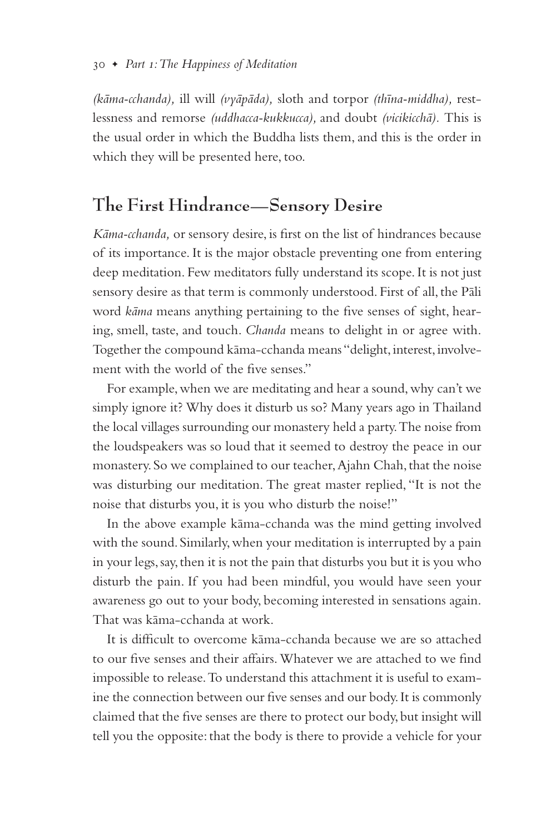*(k›ma-cchanda),* ill will *(vy›p›da),* sloth and torpor *(thına-middha),* restlessness and remorse *(uddhacca-kukkucca)*, and doubt *(vicikiccha)*. This is the usual order in which the Buddha lists them, and this is the order in which they will be presented here, too.

### **The First Hindrance—Sensory Desire**

Kāma-cchanda, or sensory desire, is first on the list of hindrances because of its importance. It is the major obstacle preventing one from entering deep meditation. Few meditators fully understand its scope. It is not just sensory desire as that term is commonly understood. First of all, the Pali word *kāma* means anything pertaining to the five senses of sight, hearing, smell, taste, and touch. *Chanda* means to delight in or agree with. Together the compound kāma-cchanda means "delight, interest, involvement with the world of the five senses."

For example, when we are meditating and hear a sound, why can't we simply ignore it? Why does it disturb us so? Many years ago in Thailand the local villages surrounding our monastery held a party.The noise from the loudspeakers was so loud that it seemed to destroy the peace in our monastery. So we complained to our teacher, Ajahn Chah, that the noise was disturbing our meditation. The great master replied, "It is not the noise that disturbs you, it is you who disturb the noise!"

In the above example kāma-cchanda was the mind getting involved with the sound. Similarly, when your meditation is interrupted by a pain in your legs,say,then it is not the pain that disturbs you but it is you who disturb the pain. If you had been mindful, you would have seen your awareness go out to your body, becoming interested in sensations again. That was kāma-cchanda at work.

It is difficult to overcome kāma-cchanda because we are so attached to our five senses and their affairs. Whatever we are attached to we find impossible to release.To understand this attachment it is useful to examine the connection between our five senses and our body.It is commonly claimed that the five senses are there to protect our body, but insight will tell you the opposite: that the body is there to provide a vehicle for your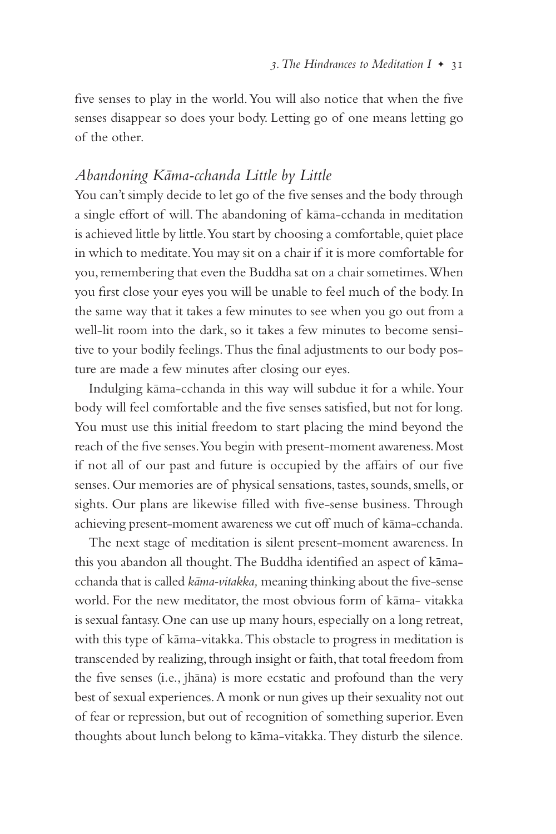five senses to play in the world.You will also notice that when the five senses disappear so does your body. Letting go of one means letting go of the other.

#### *Abandoning Kāma-cchanda Little by Little*

You can't simply decide to let go of the five senses and the body through a single effort of will. The abandoning of kāma-cchanda in meditation is achieved little by little. You start by choosing a comfortable, quiet place in which to meditate.You may sit on a chair if it is more comfortable for you, remembering that even the Buddha sat on a chair sometimes. When you first close your eyes you will be unable to feel much of the body. In the same way that it takes a few minutes to see when you go out from a well-lit room into the dark, so it takes a few minutes to become sensitive to your bodily feelings.Thus the final adjustments to our body posture are made a few minutes after closing our eyes.

Indulging kāma-cchanda in this way will subdue it for a while. Your body will feel comfortable and the five senses satisfied, but not for long. You must use this initial freedom to start placing the mind beyond the reach of the five senses.You begin with present-moment awareness.Most if not all of our past and future is occupied by the affairs of our five senses. Our memories are of physical sensations, tastes, sounds, smells, or sights. Our plans are likewise filled with five-sense business. Through achieving present-moment awareness we cut off much of kāma-cchanda.

The next stage of meditation is silent present-moment awareness. In this you abandon all thought. The Buddha identified an aspect of kāmacchanda that is called *kāma-vitakka*, meaning thinking about the five-sense world. For the new meditator, the most obvious form of kāma- vitakka is sexual fantasy. One can use up many hours, especially on a long retreat, with this type of kāma-vitakka. This obstacle to progress in meditation is transcended by realizing, through insight or faith, that total freedom from the five senses (i.e., jhana) is more ecstatic and profound than the very best of sexual experiences.A monk or nun gives up their sexuality not out of fear or repression, but out of recognition of something superior. Even thoughts about lunch belong to kāma-vitakka. They disturb the silence.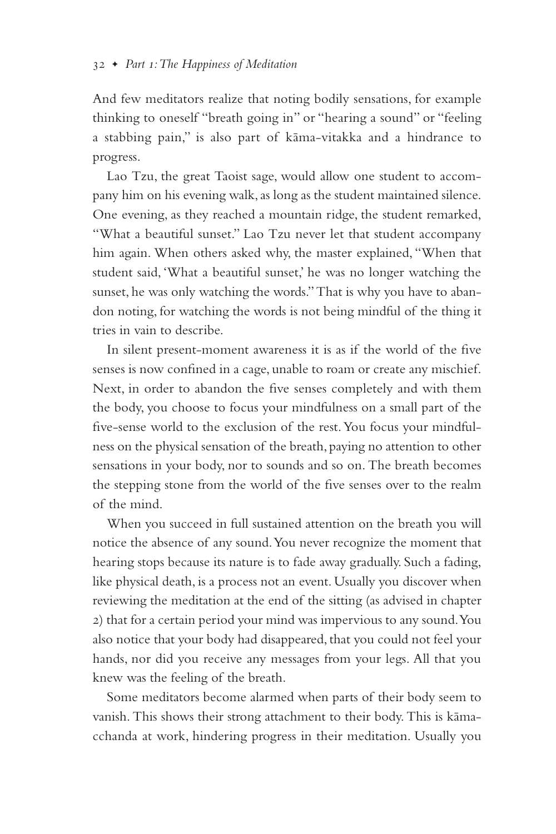And few meditators realize that noting bodily sensations, for example thinking to oneself "breath going in" or "hearing a sound" or "feeling a stabbing pain," is also part of kāma-vitakka and a hindrance to progress.

Lao Tzu, the great Taoist sage, would allow one student to accompany him on his evening walk, as long as the student maintained silence. One evening, as they reached a mountain ridge, the student remarked, "What a beautiful sunset." Lao Tzu never let that student accompany him again. When others asked why, the master explained, "When that student said, 'What a beautiful sunset,' he was no longer watching the sunset, he was only watching the words."That is why you have to abandon noting, for watching the words is not being mindful of the thing it tries in vain to describe.

In silent present-moment awareness it is as if the world of the five senses is now confined in a cage, unable to roam or create any mischief. Next, in order to abandon the five senses completely and with them the body, you choose to focus your mindfulness on a small part of the five-sense world to the exclusion of the rest.You focus your mindfulness on the physical sensation of the breath, paying no attention to other sensations in your body, nor to sounds and so on. The breath becomes the stepping stone from the world of the five senses over to the realm of the mind.

When you succeed in full sustained attention on the breath you will notice the absence of any sound.You never recognize the moment that hearing stops because its nature is to fade away gradually. Such a fading, like physical death, is a process not an event. Usually you discover when reviewing the meditation at the end of the sitting (as advised in chapter 2) that for a certain period your mind was impervious to any sound.You also notice that your body had disappeared, that you could not feel your hands, nor did you receive any messages from your legs. All that you knew was the feeling of the breath.

Some meditators become alarmed when parts of their body seem to vanish. This shows their strong attachment to their body. This is kāmacchanda at work, hindering progress in their meditation. Usually you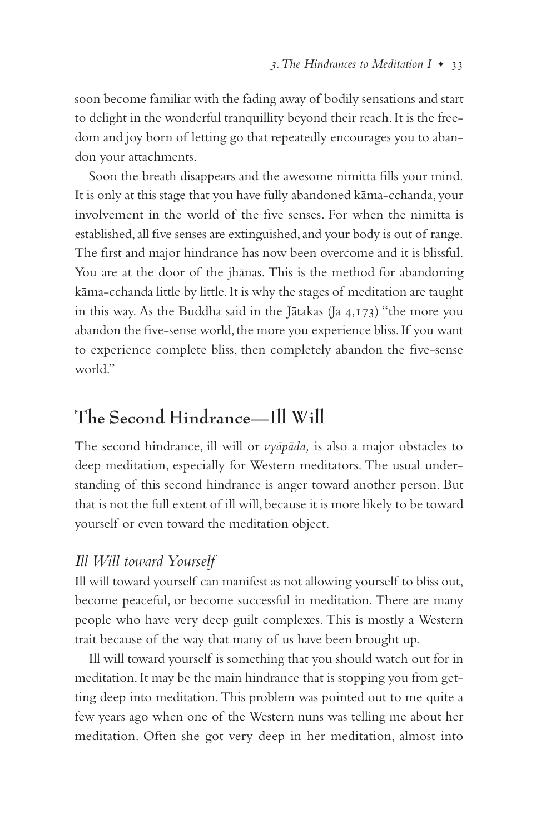soon become familiar with the fading away of bodily sensations and start to delight in the wonderful tranquillity beyond their reach.It is the freedom and joy born of letting go that repeatedly encourages you to abandon your attachments.

Soon the breath disappears and the awesome nimitta fills your mind. It is only at this stage that you have fully abandoned kāma-cchanda, your involvement in the world of the five senses. For when the nimitta is established, all five senses are extinguished, and your body is out of range. The first and major hindrance has now been overcome and it is blissful. You are at the door of the jhanas. This is the method for abandoning kāma-cchanda little by little. It is why the stages of meditation are taught in this way. As the Buddha said in the Jātakas (Ja  $4,173$ ) "the more you abandon the five-sense world, the more you experience bliss. If you want to experience complete bliss, then completely abandon the five-sense world."

## **The Second Hindrance—Ill Will**

The second hindrance, ill will or *vyapada*, is also a major obstacles to deep meditation, especially for Western meditators. The usual understanding of this second hindrance is anger toward another person. But that is not the full extent of ill will, because it is more likely to be toward yourself or even toward the meditation object.

#### *Ill Will toward Yourself*

Ill will toward yourself can manifest as not allowing yourself to bliss out, become peaceful, or become successful in meditation. There are many people who have very deep guilt complexes. This is mostly a Western trait because of the way that many of us have been brought up.

Ill will toward yourself is something that you should watch out for in meditation. It may be the main hindrance that is stopping you from getting deep into meditation. This problem was pointed out to me quite a few years ago when one of the Western nuns was telling me about her meditation. Often she got very deep in her meditation, almost into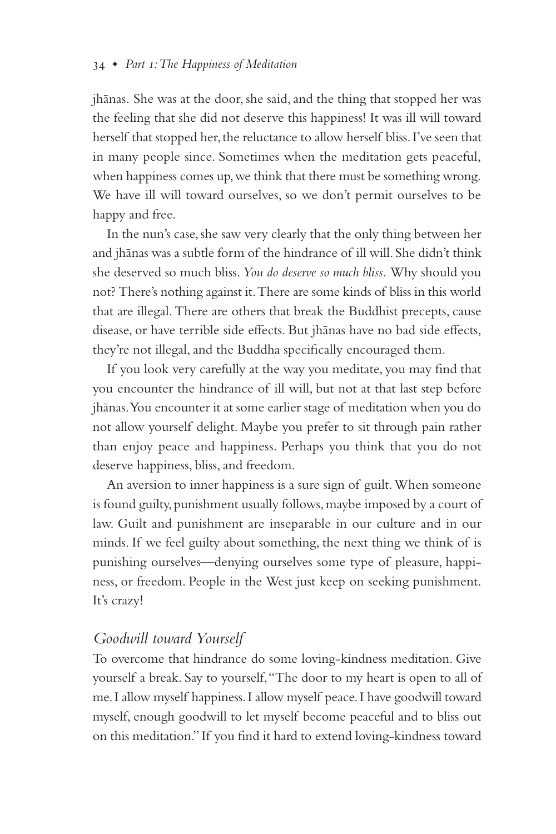jhanas. She was at the door, she said, and the thing that stopped her was the feeling that she did not deserve this happiness! It was ill will toward herself that stopped her, the reluctance to allow herself bliss. I've seen that in many people since. Sometimes when the meditation gets peaceful, when happiness comes up, we think that there must be something wrong. We have ill will toward ourselves, so we don't permit ourselves to be happy and free.

In the nun's case, she saw very clearly that the only thing between her and jhanas was a subtle form of the hindrance of ill will. She didn't think she deserved so much bliss. *You do deserve so much bliss.* Why should you not? There's nothing against it.There are some kinds of bliss in this world that are illegal. There are others that break the Buddhist precepts, cause disease, or have terrible side effects. But jhanas have no bad side effects, they're not illegal, and the Buddha specifically encouraged them*.*

If you look very carefully at the way you meditate, you may find that you encounter the hindrance of ill will, but not at that last step before jhanas. You encounter it at some earlier stage of meditation when you do not allow yourself delight. Maybe you prefer to sit through pain rather than enjoy peace and happiness. Perhaps you think that you do not deserve happiness, bliss, and freedom.

An aversion to inner happiness is a sure sign of guilt.When someone is found guilty, punishment usually follows,maybe imposed by a court of law. Guilt and punishment are inseparable in our culture and in our minds. If we feel guilty about something, the next thing we think of is punishing ourselves—denying ourselves some type of pleasure, happiness, or freedom. People in the West just keep on seeking punishment. It's crazy!

#### *Goodwill toward Yourself*

To overcome that hindrance do some loving-kindness meditation. Give yourself a break. Say to yourself,"The door to my heart is open to all of me.I allow myself happiness.I allow myself peace.I have goodwill toward myself, enough goodwill to let myself become peaceful and to bliss out on this meditation." If you find it hard to extend loving-kindness toward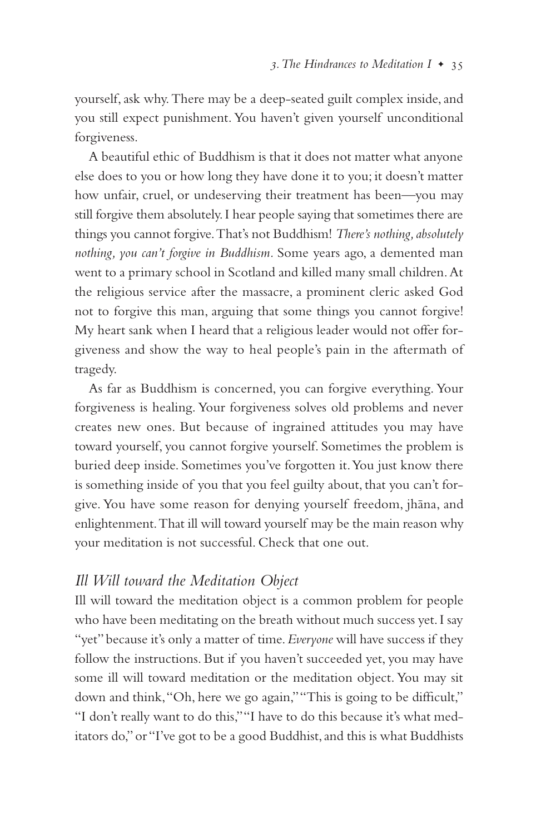yourself, ask why.There may be a deep-seated guilt complex inside, and you still expect punishment. You haven't given yourself unconditional forgiveness.

A beautiful ethic of Buddhism is that it does not matter what anyone else does to you or how long they have done it to you; it doesn't matter how unfair, cruel, or undeserving their treatment has been—you may still forgive them absolutely.I hear people saying that sometimes there are things you cannot forgive. That's not Buddhism! There's nothing, absolutely *nothing, you can't forgive in Buddhism.* Some years ago, a demented man went to a primary school in Scotland and killed many small children. At the religious service after the massacre, a prominent cleric asked God not to forgive this man, arguing that some things you cannot forgive! My heart sank when I heard that a religious leader would not offer forgiveness and show the way to heal people's pain in the aftermath of tragedy.

As far as Buddhism is concerned, you can forgive everything. Your forgiveness is healing. Your forgiveness solves old problems and never creates new ones. But because of ingrained attitudes you may have toward yourself, you cannot forgive yourself. Sometimes the problem is buried deep inside. Sometimes you've forgotten it.You just know there is something inside of you that you feel guilty about, that you can't forgive. You have some reason for denying yourself freedom, jhāna, and enlightenment.That ill will toward yourself may be the main reason why your meditation is not successful. Check that one out.

#### *Ill Will toward the Meditation Object*

Ill will toward the meditation object is a common problem for people who have been meditating on the breath without much success yet.I say "yet" because it's only a matter of time.*Everyone* will have success if they follow the instructions. But if you haven't succeeded yet, you may have some ill will toward meditation or the meditation object. You may sit down and think,"Oh, here we go again,""This is going to be difficult," "I don't really want to do this,""I have to do this because it's what meditators do," or "I've got to be a good Buddhist, and this is what Buddhists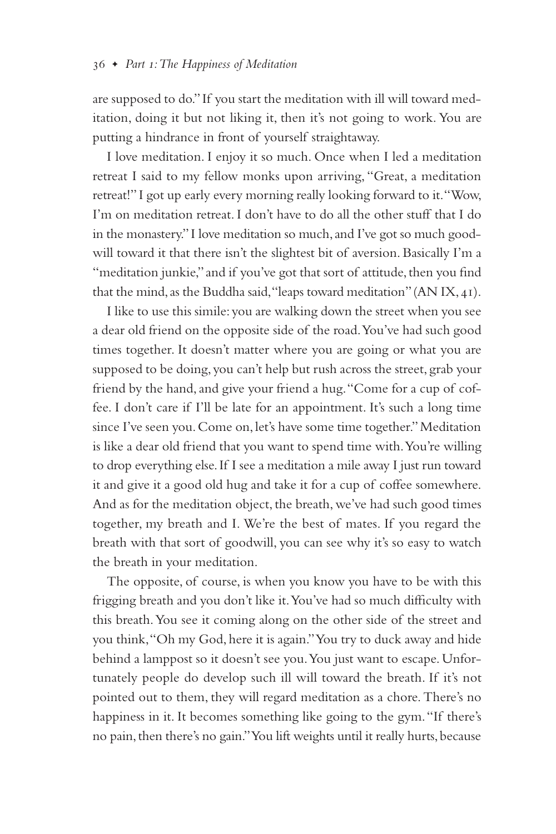are supposed to do."If you start the meditation with ill will toward meditation, doing it but not liking it, then it's not going to work. You are putting a hindrance in front of yourself straightaway.

I love meditation. I enjoy it so much. Once when I led a meditation retreat I said to my fellow monks upon arriving, "Great, a meditation retreat!"I got up early every morning really looking forward to it."Wow, I'm on meditation retreat. I don't have to do all the other stuff that I do in the monastery."I love meditation so much,and I've got so much goodwill toward it that there isn't the slightest bit of aversion. Basically I'm a "meditation junkie," and if you've got that sort of attitude, then you find that the mind, as the Buddha said, "leaps toward meditation"  $(AN IX, 4I)$ .

I like to use this simile:you are walking down the street when you see a dear old friend on the opposite side of the road.You've had such good times together. It doesn't matter where you are going or what you are supposed to be doing, you can't help but rush across the street, grab your friend by the hand, and give your friend a hug. "Come for a cup of coffee. I don't care if I'll be late for an appointment. It's such a long time since I've seen you. Come on, let's have some time together." Meditation is like a dear old friend that you want to spend time with.You're willing to drop everything else.If I see a meditation a mile away I just run toward it and give it a good old hug and take it for a cup of coffee somewhere. And as for the meditation object, the breath, we've had such good times together, my breath and I. We're the best of mates. If you regard the breath with that sort of goodwill, you can see why it's so easy to watch the breath in your meditation.

The opposite, of course, is when you know you have to be with this frigging breath and you don't like it.You've had so much difficulty with this breath.You see it coming along on the other side of the street and you think,"Oh my God, here it is again."You try to duck away and hide behind a lamppost so it doesn't see you.You just want to escape. Unfortunately people do develop such ill will toward the breath. If it's not pointed out to them, they will regard meditation as a chore. There's no happiness in it. It becomes something like going to the gym."If there's no pain, then there's no gain."You lift weights until it really hurts, because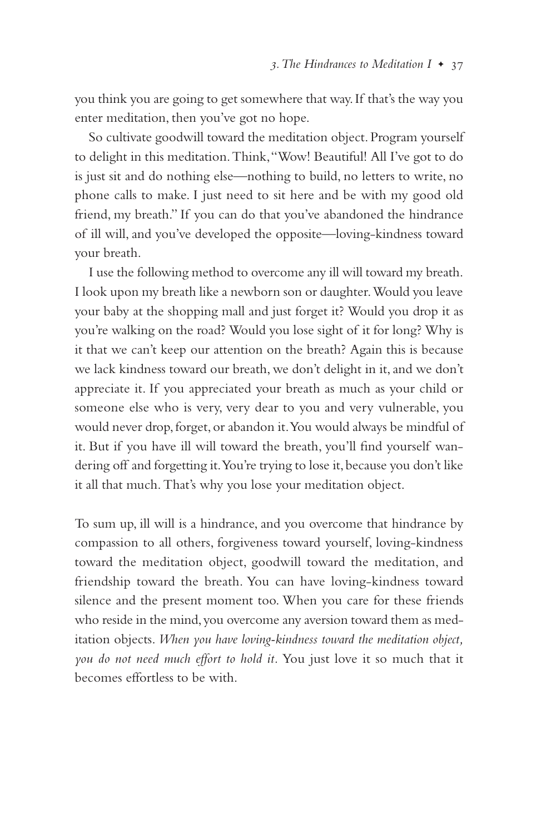you think you are going to get somewhere that way.If that's the way you enter meditation, then you've got no hope.

So cultivate goodwill toward the meditation object. Program yourself to delight in this meditation.Think,"Wow! Beautiful! All I've got to do is just sit and do nothing else—nothing to build, no letters to write, no phone calls to make. I just need to sit here and be with my good old friend, my breath." If you can do that you've abandoned the hindrance of ill will, and you've developed the opposite—loving-kindness toward your breath.

I use the following method to overcome any ill will toward my breath. I look upon my breath like a newborn son or daughter.Would you leave your baby at the shopping mall and just forget it? Would you drop it as you're walking on the road? Would you lose sight of it for long? Why is it that we can't keep our attention on the breath? Again this is because we lack kindness toward our breath, we don't delight in it, and we don't appreciate it. If you appreciated your breath as much as your child or someone else who is very, very dear to you and very vulnerable, you would never drop, forget, or abandon it. You would always be mindful of it. But if you have ill will toward the breath, you'll find yourself wandering off and forgetting it. You're trying to lose it, because you don't like it all that much. That's why you lose your meditation object.

To sum up, ill will is a hindrance, and you overcome that hindrance by compassion to all others, forgiveness toward yourself, loving-kindness toward the meditation object, goodwill toward the meditation, and friendship toward the breath. You can have loving-kindness toward silence and the present moment too. When you care for these friends who reside in the mind,you overcome any aversion toward them as meditation objects. *When you have loving-kindness toward the meditation object, you do not need much effort to hold it.* You just love it so much that it becomes effortless to be with.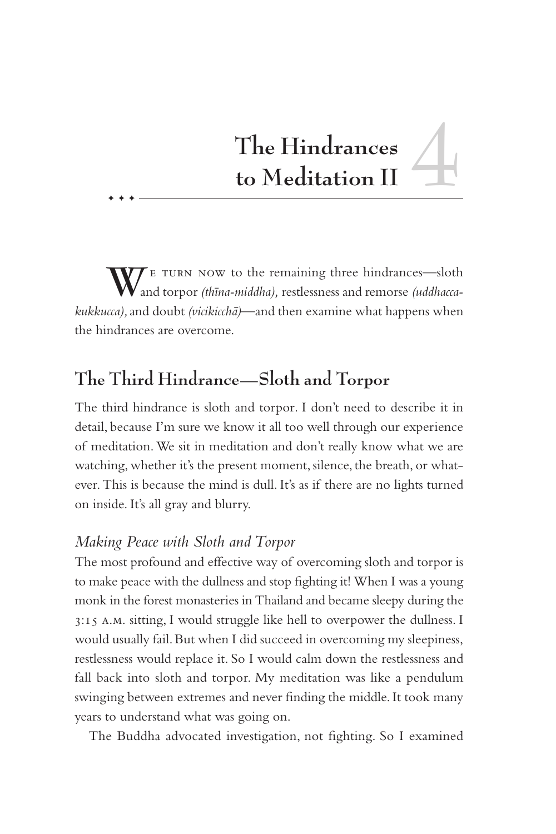## **The Hindrances**  The Hindrances<br>to Meditation II

W<sub>and torpor *(thīna-middha)*, restlessness and remorse *(uddhacca-*</sub> *kukkucca)*, and doubt *(vicikiccha)*—and then examine what happens when the hindrances are overcome.

## **The Third Hindrance—Sloth and Torpor**

The third hindrance is sloth and torpor*.* I don't need to describe it in detail, because I'm sure we know it all too well through our experience of meditation. We sit in meditation and don't really know what we are watching, whether it's the present moment, silence, the breath, or whatever. This is because the mind is dull. It's as if there are no lights turned on inside. It's all gray and blurry.

#### *Making Peace with Sloth and Torpor*

**✦✦✦**

The most profound and effective way of overcoming sloth and torpor is to make peace with the dullness and stop fighting it! When I was a young monk in the forest monasteries in Thailand and became sleepy during the 3:15 a.m. sitting, I would struggle like hell to overpower the dullness. I would usually fail.But when I did succeed in overcoming my sleepiness, restlessness would replace it. So I would calm down the restlessness and fall back into sloth and torpor. My meditation was like a pendulum swinging between extremes and never finding the middle. It took many years to understand what was going on.

The Buddha advocated investigation, not fighting. So I examined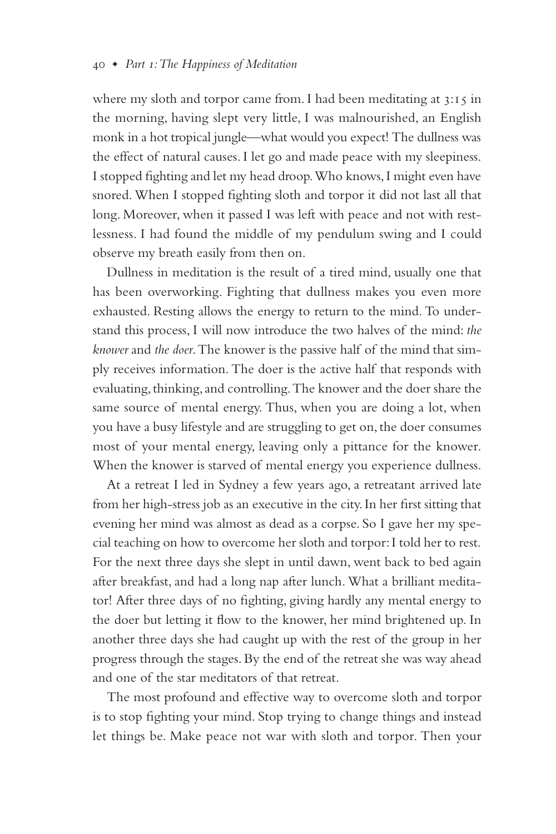where my sloth and torpor came from. I had been meditating at 3:15 in the morning, having slept very little, I was malnourished, an English monk in a hot tropical jungle—what would you expect! The dullness was the effect of natural causes. I let go and made peace with my sleepiness. I stopped fighting and let my head droop.Who knows,I might even have snored. When I stopped fighting sloth and torpor it did not last all that long. Moreover, when it passed I was left with peace and not with restlessness. I had found the middle of my pendulum swing and I could observe my breath easily from then on.

Dullness in meditation is the result of a tired mind, usually one that has been overworking. Fighting that dullness makes you even more exhausted. Resting allows the energy to return to the mind. To understand this process, I will now introduce the two halves of the mind: *the knower* and *the doer*.The knower is the passive half of the mind that simply receives information. The doer is the active half that responds with evaluating, thinking, and controlling. The knower and the doer share the same source of mental energy. Thus, when you are doing a lot, when you have a busy lifestyle and are struggling to get on, the doer consumes most of your mental energy, leaving only a pittance for the knower. When the knower is starved of mental energy you experience dullness.

At a retreat I led in Sydney a few years ago, a retreatant arrived late from her high-stress job as an executive in the city.In her first sitting that evening her mind was almost as dead as a corpse. So I gave her my special teaching on how to overcome her sloth and torpor:I told her to rest. For the next three days she slept in until dawn, went back to bed again after breakfast, and had a long nap after lunch. What a brilliant meditator! After three days of no fighting, giving hardly any mental energy to the doer but letting it flow to the knower, her mind brightened up. In another three days she had caught up with the rest of the group in her progress through the stages. By the end of the retreat she was way ahead and one of the star meditators of that retreat.

The most profound and effective way to overcome sloth and torpor is to stop fighting your mind. Stop trying to change things and instead let things be. Make peace not war with sloth and torpor. Then your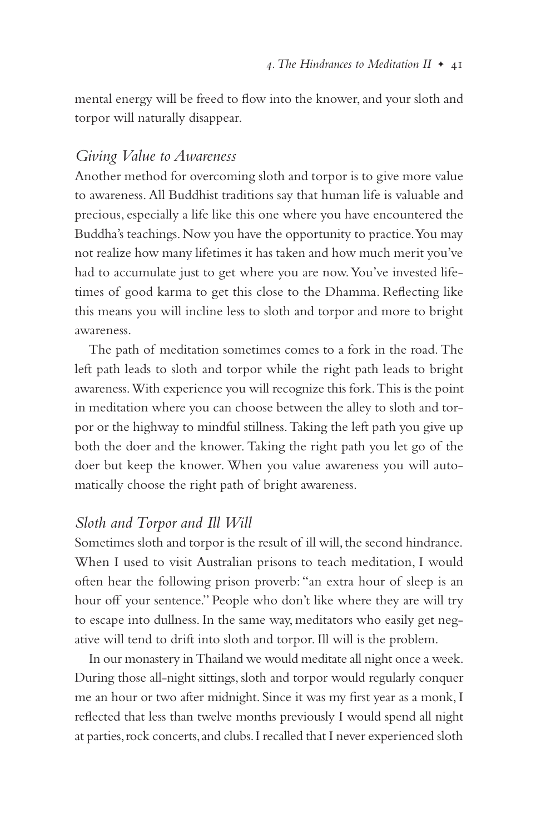mental energy will be freed to flow into the knower, and your sloth and torpor will naturally disappear.

#### *Giving Value to Awareness*

Another method for overcoming sloth and torpor is to give more value to awareness. All Buddhist traditions say that human life is valuable and precious, especially a life like this one where you have encountered the Buddha's teachings.Now you have the opportunity to practice.You may not realize how many lifetimes it has taken and how much merit you've had to accumulate just to get where you are now.You've invested lifetimes of good karma to get this close to the Dhamma. Reflecting like this means you will incline less to sloth and torpor and more to bright awareness.

The path of meditation sometimes comes to a fork in the road. The left path leads to sloth and torpor while the right path leads to bright awareness.With experience you will recognize this fork.This is the point in meditation where you can choose between the alley to sloth and torpor or the highway to mindful stillness.Taking the left path you give up both the doer and the knower. Taking the right path you let go of the doer but keep the knower. When you value awareness you will automatically choose the right path of bright awareness.

#### *Sloth and Torpor and Ill Will*

Sometimes sloth and torpor is the result of ill will, the second hindrance. When I used to visit Australian prisons to teach meditation, I would often hear the following prison proverb: "an extra hour of sleep is an hour off your sentence." People who don't like where they are will try to escape into dullness. In the same way, meditators who easily get negative will tend to drift into sloth and torpor. Ill will is the problem.

In our monastery in Thailand we would meditate all night once a week. During those all-night sittings, sloth and torpor would regularly conquer me an hour or two after midnight. Since it was my first year as a monk, I reflected that less than twelve months previously I would spend all night at parties, rock concerts, and clubs. I recalled that I never experienced sloth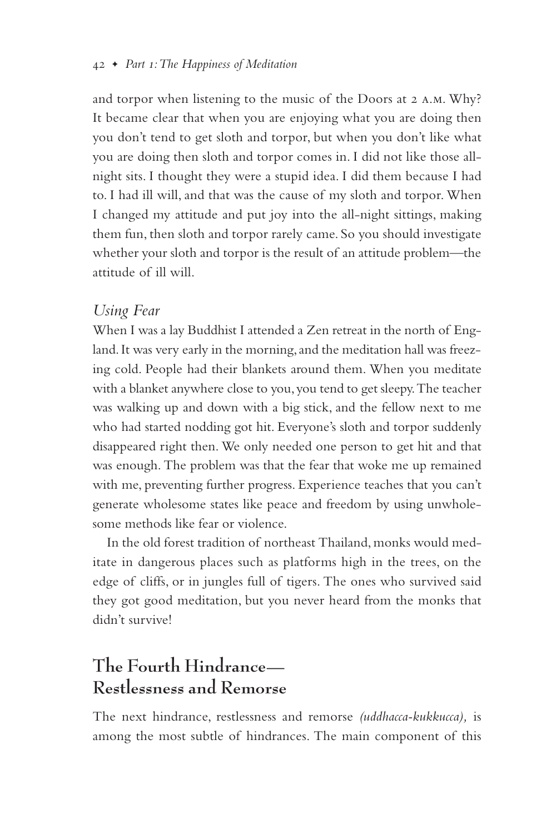and torpor when listening to the music of the Doors at 2 a.m. Why? It became clear that when you are enjoying what you are doing then you don't tend to get sloth and torpor, but when you don't like what you are doing then sloth and torpor comes in. I did not like those allnight sits. I thought they were a stupid idea. I did them because I had to. I had ill will, and that was the cause of my sloth and torpor. When I changed my attitude and put joy into the all-night sittings, making them fun, then sloth and torpor rarely came. So you should investigate whether your sloth and torpor is the result of an attitude problem—the attitude of ill will.

#### *Using Fear*

When I was a lay Buddhist I attended a Zen retreat in the north of England. It was very early in the morning, and the meditation hall was freezing cold. People had their blankets around them. When you meditate with a blanket anywhere close to you,you tend to get sleepy.The teacher was walking up and down with a big stick, and the fellow next to me who had started nodding got hit. Everyone's sloth and torpor suddenly disappeared right then. We only needed one person to get hit and that was enough. The problem was that the fear that woke me up remained with me, preventing further progress. Experience teaches that you can't generate wholesome states like peace and freedom by using unwholesome methods like fear or violence.

In the old forest tradition of northeast Thailand, monks would meditate in dangerous places such as platforms high in the trees, on the edge of cliffs, or in jungles full of tigers. The ones who survived said they got good meditation, but you never heard from the monks that didn't survive!

## **The Fourth Hindrance— Restlessness and Remorse**

The next hindrance, restlessness and remorse *(uddhacca-kukkucca),* is among the most subtle of hindrances. The main component of this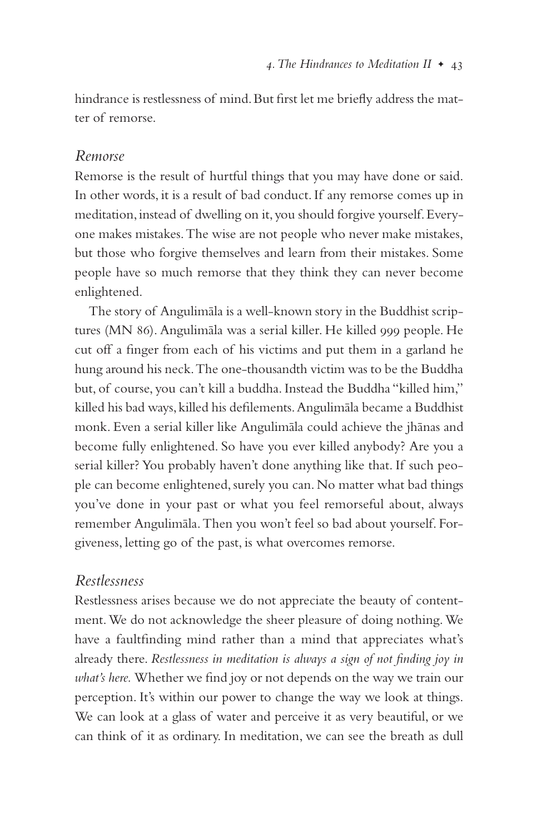hindrance is restlessness of mind. But first let me briefly address the matter of remorse.

#### *Remorse*

Remorse is the result of hurtful things that you may have done or said. In other words, it is a result of bad conduct. If any remorse comes up in meditation, instead of dwelling on it, you should forgive yourself. Everyone makes mistakes.The wise are not people who never make mistakes, but those who forgive themselves and learn from their mistakes. Some people have so much remorse that they think they can never become enlightened.

The story of Angulimala is a well-known story in the Buddhist scriptures (MN 86). Angulimāla was a serial killer. He killed 999 people. He cut off a finger from each of his victims and put them in a garland he hung around his neck.The one-thousandth victim was to be the Buddha but, of course, you can't kill a buddha. Instead the Buddha "killed him," killed his bad ways, killed his defilements. Angulimāla became a Buddhist monk. Even a serial killer like Angulimāla could achieve the jhānas and become fully enlightened. So have you ever killed anybody? Are you a serial killer? You probably haven't done anything like that. If such people can become enlightened, surely you can. No matter what bad things you've done in your past or what you feel remorseful about, always remember Angulimāla. Then you won't feel so bad about yourself. Forgiveness, letting go of the past, is what overcomes remorse.

#### *Restlessness*

Restlessness arises because we do not appreciate the beauty of contentment.We do not acknowledge the sheer pleasure of doing nothing.We have a faultfinding mind rather than a mind that appreciates what's already there. *Restlessness in meditation is always a sign of not finding joy in what's here.* Whether we find joy or not depends on the way we train our perception. It's within our power to change the way we look at things. We can look at a glass of water and perceive it as very beautiful, or we can think of it as ordinary. In meditation, we can see the breath as dull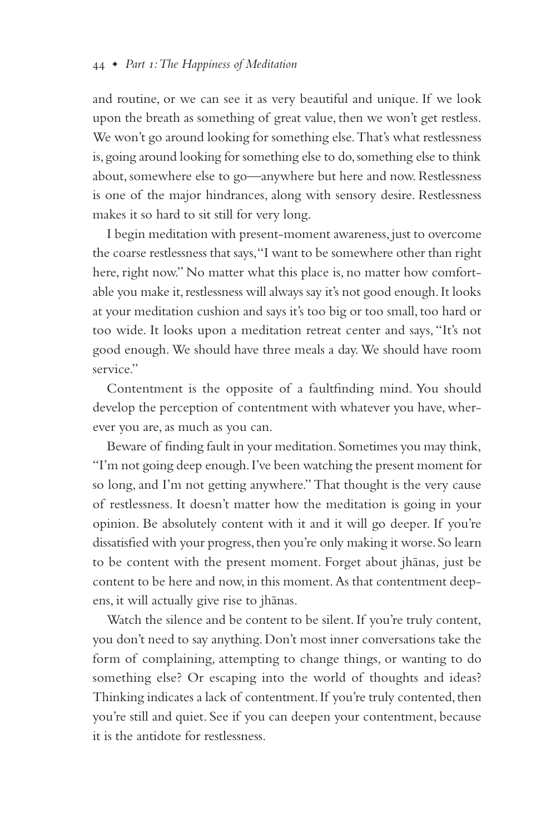and routine, or we can see it as very beautiful and unique. If we look upon the breath as something of great value, then we won't get restless. We won't go around looking for something else. That's what restlessness is, going around looking for something else to do, something else to think about, somewhere else to go—anywhere but here and now.Restlessness is one of the major hindrances, along with sensory desire. Restlessness makes it so hard to sit still for very long.

I begin meditation with present-moment awareness,just to overcome the coarse restlessness that says,"I want to be somewhere other than right here, right now." No matter what this place is, no matter how comfortable you make it, restlessness will always say it's not good enough. It looks at your meditation cushion and says it's too big or too small, too hard or too wide. It looks upon a meditation retreat center and says, "It's not good enough. We should have three meals a day. We should have room service."

Contentment is the opposite of a faultfinding mind. You should develop the perception of contentment with whatever you have, wherever you are, as much as you can.

Beware of finding fault in your meditation.Sometimes you may think, "I'm not going deep enough.I've been watching the present moment for so long, and I'm not getting anywhere." That thought is the very cause of restlessness. It doesn't matter how the meditation is going in your opinion. Be absolutely content with it and it will go deeper. If you're dissatisfied with your progress, then you're only making it worse. So learn to be content with the present moment. Forget about jhanas, just be content to be here and now, in this moment.As that contentment deepens, it will actually give rise to jhanas.

Watch the silence and be content to be silent. If you're truly content, you don't need to say anything. Don't most inner conversations take the form of complaining, attempting to change things, or wanting to do something else? Or escaping into the world of thoughts and ideas? Thinking indicates a lack of contentment. If you're truly contented, then you're still and quiet. See if you can deepen your contentment, because it is the antidote for restlessness.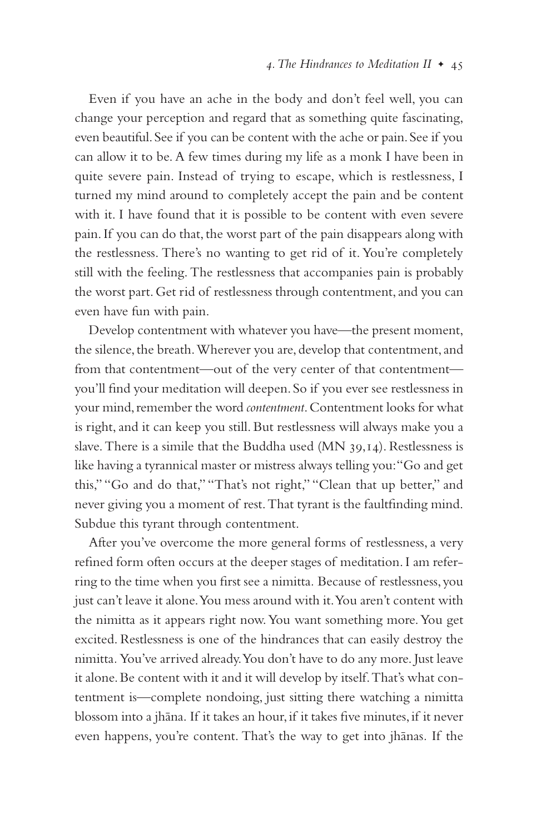Even if you have an ache in the body and don't feel well, you can change your perception and regard that as something quite fascinating, even beautiful.See if you can be content with the ache or pain.See if you can allow it to be. A few times during my life as a monk I have been in quite severe pain. Instead of trying to escape, which is restlessness, I turned my mind around to completely accept the pain and be content with it. I have found that it is possible to be content with even severe pain. If you can do that, the worst part of the pain disappears along with the restlessness. There's no wanting to get rid of it. You're completely still with the feeling. The restlessness that accompanies pain is probably the worst part.Get rid of restlessness through contentment,and you can even have fun with pain.

Develop contentment with whatever you have—the present moment, the silence, the breath. Wherever you are, develop that contentment, and from that contentment—out of the very center of that contentment you'll find your meditation will deepen. So if you ever see restlessness in your mind, remember the word *contentment*. Contentment looks for what is right, and it can keep you still. But restlessness will always make you a slave.There is a simile that the Buddha used (MN 39,14). Restlessness is like having a tyrannical master or mistress always telling you:"Go and get this," "Go and do that," "That's not right," "Clean that up better," and never giving you a moment of rest.That tyrant is the faultfinding mind. Subdue this tyrant through contentment.

After you've overcome the more general forms of restlessness, a very refined form often occurs at the deeper stages of meditation. I am referring to the time when you first see a nimitta*.* Because of restlessness, you just can't leave it alone.You mess around with it.You aren't content with the nimitta as it appears right now.You want something more.You get excited. Restlessness is one of the hindrances that can easily destroy the nimitta*.* You've arrived already.You don't have to do any more. Just leave it alone.Be content with it and it will develop by itself.That's what contentment is—complete nondoing, just sitting there watching a nimitta blossom into a jhāna. If it takes an hour, if it takes five minutes, if it never even happens, you're content. That's the way to get into jhanas. If the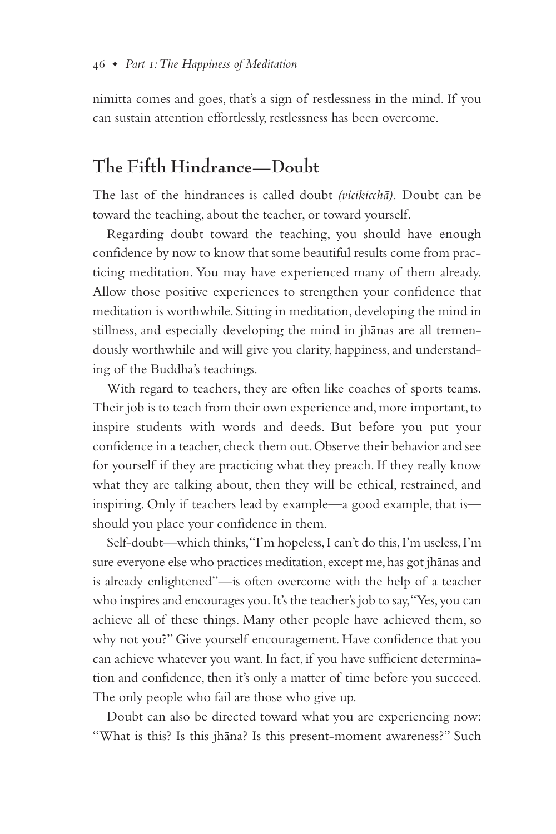nimitta comes and goes, that's a sign of restlessness in the mind. If you can sustain attention effortlessly, restlessness has been overcome.

#### **The Fifth Hindrance—Doubt**

The last of the hindrances is called doubt *(vicikiccha)*. Doubt can be toward the teaching, about the teacher, or toward yourself.

Regarding doubt toward the teaching, you should have enough confidence by now to know that some beautiful results come from practicing meditation. You may have experienced many of them already. Allow those positive experiences to strengthen your confidence that meditation is worthwhile. Sitting in meditation, developing the mind in stillness, and especially developing the mind in jhanas are all tremendously worthwhile and will give you clarity, happiness, and understanding of the Buddha's teachings.

With regard to teachers, they are often like coaches of sports teams. Their job is to teach from their own experience and, more important, to inspire students with words and deeds. But before you put your confidence in a teacher, check them out.Observe their behavior and see for yourself if they are practicing what they preach. If they really know what they are talking about, then they will be ethical, restrained, and inspiring. Only if teachers lead by example—a good example, that is should you place your confidence in them.

Self-doubt—which thinks,"I'm hopeless,I can't do this,I'm useless,I'm sure everyone else who practices meditation, except me, has got jhanas and is already enlightened"—is often overcome with the help of a teacher who inspires and encourages you. It's the teacher's job to say, "Yes, you can achieve all of these things. Many other people have achieved them, so why not you?" Give yourself encouragement. Have confidence that you can achieve whatever you want.In fact,if you have sufficient determination and confidence, then it's only a matter of time before you succeed. The only people who fail are those who give up.

Doubt can also be directed toward what you are experiencing now: "What is this? Is this jhana? Is this present-moment awareness?" Such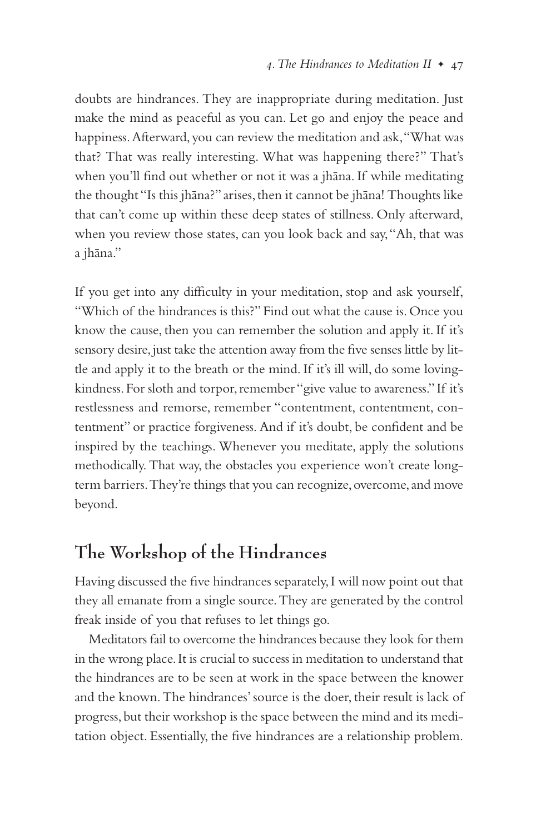doubts are hindrances. They are inappropriate during meditation. Just make the mind as peaceful as you can. Let go and enjoy the peace and happiness. Afterward, you can review the meditation and ask, "What was that? That was really interesting. What was happening there?" That's when you'll find out whether or not it was a jhana. If while meditating the thought "Is this jhana?" arises, then it cannot be jhana! Thoughts like that can't come up within these deep states of stillness. Only afterward, when you review those states, can you look back and say,"Ah, that was a jhāna."

If you get into any difficulty in your meditation, stop and ask yourself, "Which of the hindrances is this?" Find out what the cause is. Once you know the cause, then you can remember the solution and apply it. If it's sensory desire, just take the attention away from the five senses little by little and apply it to the breath or the mind. If it's ill will, do some lovingkindness. For sloth and torpor, remember "give value to awareness." If it's restlessness and remorse, remember "contentment, contentment, contentment" or practice forgiveness. And if it's doubt, be confident and be inspired by the teachings. Whenever you meditate, apply the solutions methodically. That way, the obstacles you experience won't create longterm barriers. They're things that you can recognize, overcome, and move beyond.

## **The Workshop of the Hindrances**

Having discussed the five hindrances separately,I will now point out that they all emanate from a single source.They are generated by the control freak inside of you that refuses to let things go.

Meditators fail to overcome the hindrances because they look for them in the wrong place.It is crucial to success in meditation to understand that the hindrances are to be seen at work in the space between the knower and the known.The hindrances' source is the doer, their result is lack of progress, but their workshop is the space between the mind and its meditation object. Essentially, the five hindrances are a relationship problem.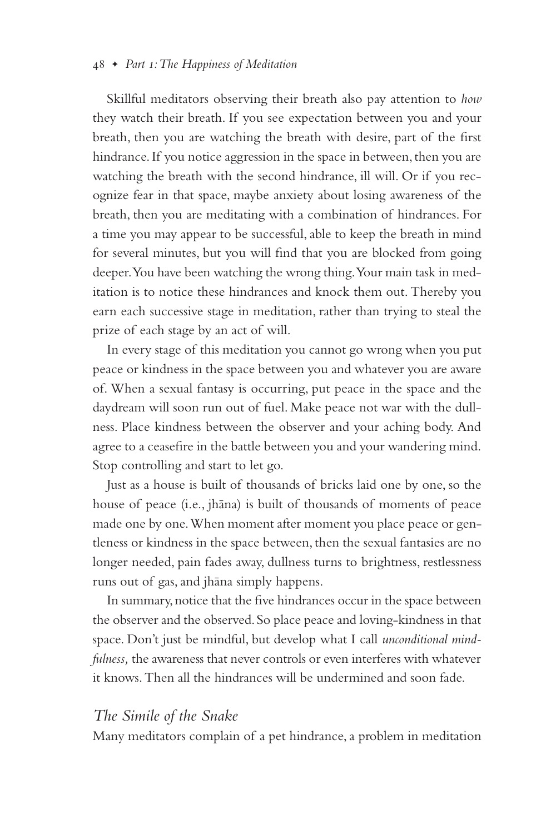#### 48 **✦** *Part 1:The Happiness of Meditation*

Skillful meditators observing their breath also pay attention to *how* they watch their breath. If you see expectation between you and your breath, then you are watching the breath with desire, part of the first hindrance. If you notice aggression in the space in between, then you are watching the breath with the second hindrance, ill will. Or if you recognize fear in that space, maybe anxiety about losing awareness of the breath, then you are meditating with a combination of hindrances. For a time you may appear to be successful, able to keep the breath in mind for several minutes, but you will find that you are blocked from going deeper.You have been watching the wrong thing.Your main task in meditation is to notice these hindrances and knock them out. Thereby you earn each successive stage in meditation, rather than trying to steal the prize of each stage by an act of will.

In every stage of this meditation you cannot go wrong when you put peace or kindness in the space between you and whatever you are aware of. When a sexual fantasy is occurring, put peace in the space and the daydream will soon run out of fuel. Make peace not war with the dullness. Place kindness between the observer and your aching body. And agree to a ceasefire in the battle between you and your wandering mind. Stop controlling and start to let go.

Just as a house is built of thousands of bricks laid one by one, so the house of peace (i.e., jhana) is built of thousands of moments of peace made one by one.When moment after moment you place peace or gentleness or kindness in the space between, then the sexual fantasies are no longer needed, pain fades away, dullness turns to brightness, restlessness runs out of gas, and jhana simply happens.

In summary, notice that the five hindrances occur in the space between the observer and the observed.So place peace and loving-kindness in that space. Don't just be mindful, but develop what I call *unconditional mindfulness,* the awareness that never controls or even interferes with whatever it knows.Then all the hindrances will be undermined and soon fade.

#### *The Simile of the Snake*

Many meditators complain of a pet hindrance, a problem in meditation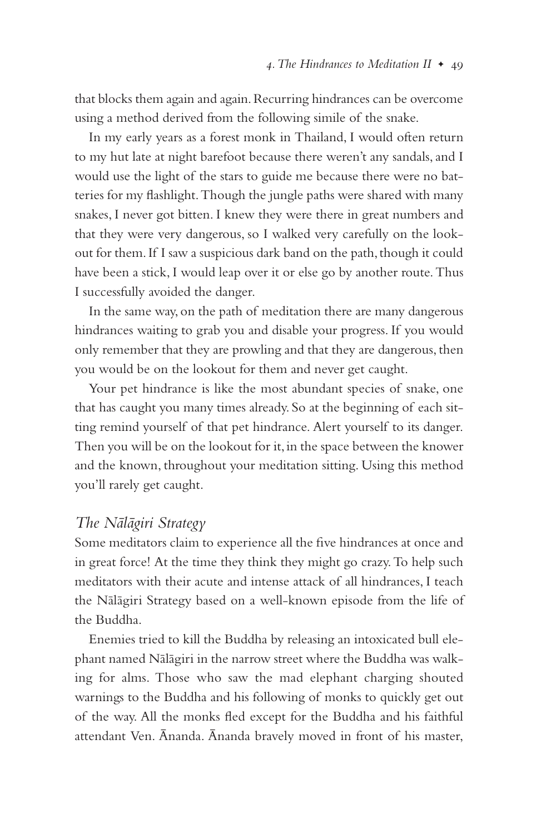that blocks them again and again.Recurring hindrances can be overcome using a method derived from the following simile of the snake.

In my early years as a forest monk in Thailand, I would often return to my hut late at night barefoot because there weren't any sandals, and I would use the light of the stars to guide me because there were no batteries for my flashlight.Though the jungle paths were shared with many snakes, I never got bitten. I knew they were there in great numbers and that they were very dangerous, so I walked very carefully on the lookout for them. If I saw a suspicious dark band on the path, though it could have been a stick, I would leap over it or else go by another route. Thus I successfully avoided the danger.

In the same way, on the path of meditation there are many dangerous hindrances waiting to grab you and disable your progress. If you would only remember that they are prowling and that they are dangerous, then you would be on the lookout for them and never get caught.

Your pet hindrance is like the most abundant species of snake, one that has caught you many times already. So at the beginning of each sitting remind yourself of that pet hindrance. Alert yourself to its danger. Then you will be on the lookout for it, in the space between the knower and the known, throughout your meditation sitting. Using this method you'll rarely get caught.

#### *The Nalagiri Strategy*

Some meditators claim to experience all the five hindrances at once and in great force! At the time they think they might go crazy. To help such meditators with their acute and intense attack of all hindrances, I teach the Nālāgiri Strategy based on a well-known episode from the life of the Buddha.

Enemies tried to kill the Buddha by releasing an intoxicated bull elephant named Nālāgiri in the narrow street where the Buddha was walking for alms. Those who saw the mad elephant charging shouted warnings to the Buddha and his following of monks to quickly get out of the way. All the monks fled except for the Buddha and his faithful attendant Ven. Ananda. Ananda bravely moved in front of his master,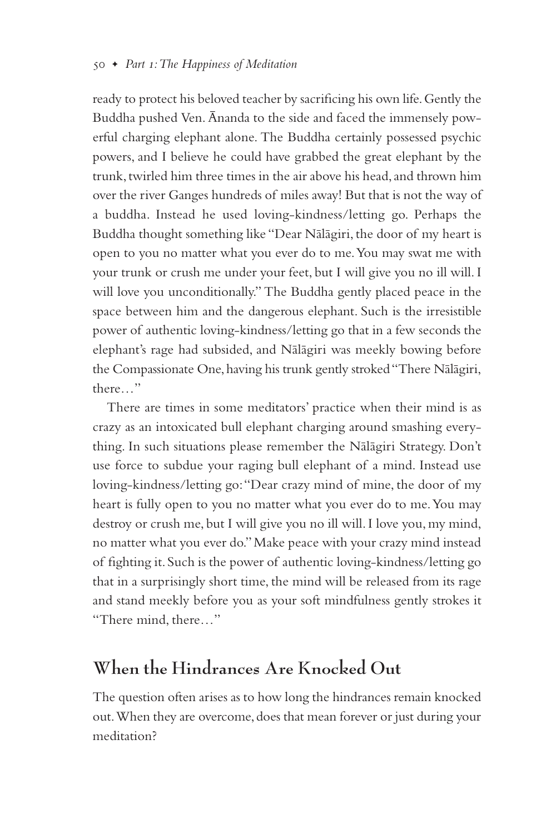ready to protect his beloved teacher by sacrificing his own life.Gently the Buddha pushed Ven. Ananda to the side and faced the immensely powerful charging elephant alone. The Buddha certainly possessed psychic powers, and I believe he could have grabbed the great elephant by the trunk,twirled him three times in the air above his head,and thrown him over the river Ganges hundreds of miles away! But that is not the way of a buddha. Instead he used loving-kindness/letting go. Perhaps the Buddha thought something like "Dear Nālāgiri, the door of my heart is open to you no matter what you ever do to me.You may swat me with your trunk or crush me under your feet, but I will give you no ill will. I will love you unconditionally." The Buddha gently placed peace in the space between him and the dangerous elephant. Such is the irresistible power of authentic loving-kindness/letting go that in a few seconds the elephant's rage had subsided, and Nālāgiri was meekly bowing before the Compassionate One, having his trunk gently stroked "There Nālāgiri, there…"

There are times in some meditators' practice when their mind is as crazy as an intoxicated bull elephant charging around smashing everything. In such situations please remember the Nālāgiri Strategy. Don't use force to subdue your raging bull elephant of a mind. Instead use loving-kindness/letting go:"Dear crazy mind of mine, the door of my heart is fully open to you no matter what you ever do to me.You may destroy or crush me, but I will give you no ill will. I love you, my mind, no matter what you ever do."Make peace with your crazy mind instead of fighting it. Such is the power of authentic loving-kindness/letting go that in a surprisingly short time, the mind will be released from its rage and stand meekly before you as your soft mindfulness gently strokes it "There mind, there…"

### **When the Hindrances Are Knocked Out**

The question often arises as to how long the hindrances remain knocked out. When they are overcome, does that mean forever or just during your meditation?